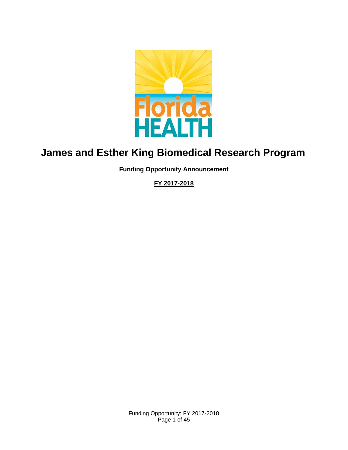

# **James and Esther King Biomedical Research Program**

**Funding Opportunity Announcement** 

**FY 2017-2018**

Funding Opportunity: FY 2017-2018 Page 1 of 45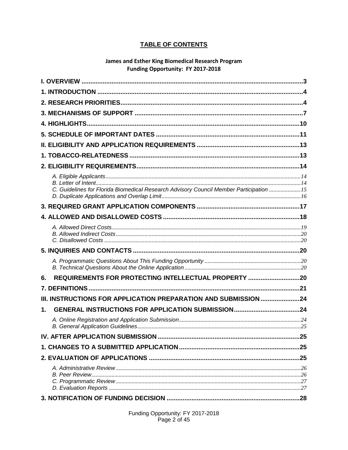### **TABLE OF CONTENTS**

#### **James and Esther King Biomedical Research Program** Funding Opportunity: FY 2017-2018

| C. Guidelines for Florida Biomedical Research Advisory Council Member Participation 15 |  |
|----------------------------------------------------------------------------------------|--|
|                                                                                        |  |
|                                                                                        |  |
|                                                                                        |  |
|                                                                                        |  |
|                                                                                        |  |
|                                                                                        |  |
|                                                                                        |  |
|                                                                                        |  |
| REQUIREMENTS FOR PROTECTING INTELLECTUAL PROPERTY 20<br>6.                             |  |
|                                                                                        |  |
| III. INSTRUCTIONS FOR APPLICATION PREPARATION AND SUBMISSION 24                        |  |
| 1.                                                                                     |  |
|                                                                                        |  |
|                                                                                        |  |
|                                                                                        |  |
|                                                                                        |  |
|                                                                                        |  |
|                                                                                        |  |
|                                                                                        |  |
|                                                                                        |  |

Funding Opportunity: FY 2017-2018<br>Page 2 of 45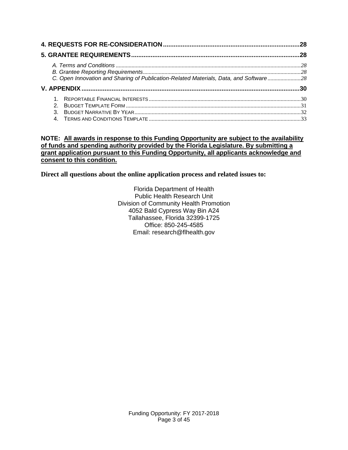|                                                                                        | 28 |
|----------------------------------------------------------------------------------------|----|
|                                                                                        |    |
| C. Open Innovation and Sharing of Publication-Related Materials, Data, and Software 28 |    |
|                                                                                        |    |
| 2.<br>$\mathcal{S}$                                                                    |    |

#### <span id="page-2-0"></span>**NOTE: All awards in response to this Funding Opportunity are subject to the availability of funds and spending authority provided by the Florida Legislature. By submitting a grant application pursuant to this Funding Opportunity, all applicants acknowledge and consent to this condition.**

**Direct all questions about the online application process and related issues to:**

Florida Department of Health Public Health Research Unit Division of Community Health Promotion 4052 Bald Cypress Way Bin A24 Tallahassee, Florida 32399-1725 Office: 850-245-4585 Email: research@flhealth.gov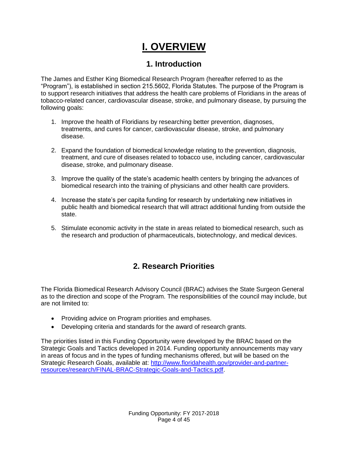# **I. OVERVIEW**

## **1. Introduction**

<span id="page-3-0"></span>The James and Esther King Biomedical Research Program (hereafter referred to as the "Program"), is established in section 215.5602, Florida Statutes. The purpose of the Program is to support research initiatives that address the health care problems of Floridians in the areas of tobacco-related cancer, cardiovascular disease, stroke, and pulmonary disease, by pursuing the following goals:

- 1. Improve the health of Floridians by researching better prevention, diagnoses, treatments, and cures for cancer, cardiovascular disease, stroke, and pulmonary disease.
- 2. Expand the foundation of biomedical knowledge relating to the prevention, diagnosis, treatment, and cure of diseases related to tobacco use, including cancer, cardiovascular disease, stroke, and pulmonary disease.
- 3. Improve the quality of the state's academic health centers by bringing the advances of biomedical research into the training of physicians and other health care providers.
- 4. Increase the state's per capita funding for research by undertaking new initiatives in public health and biomedical research that will attract additional funding from outside the state.
- 5. Stimulate economic activity in the state in areas related to biomedical research, such as the research and production of pharmaceuticals, biotechnology, and medical devices.

# **2. Research Priorities**

<span id="page-3-1"></span>The Florida Biomedical Research Advisory Council (BRAC) advises the State Surgeon General as to the direction and scope of the Program. The responsibilities of the council may include, but are not limited to:

- Providing advice on Program priorities and emphases.
- Developing criteria and standards for the award of research grants.

The priorities listed in this Funding Opportunity were developed by the BRAC based on the Strategic Goals and Tactics developed in 2014. Funding opportunity announcements may vary in areas of focus and in the types of funding mechanisms offered, but will be based on the Strategic Research Goals, available at: [http://www.floridahealth.gov/provider-and-partner](http://www.floridahealth.gov/provider-and-partner-resources/research/FINAL-BRAC-Strategic-Goals-and-Tactics.pdf)[resources/research/FINAL-BRAC-Strategic-Goals-and-Tactics.pdf.](http://www.floridahealth.gov/provider-and-partner-resources/research/FINAL-BRAC-Strategic-Goals-and-Tactics.pdf)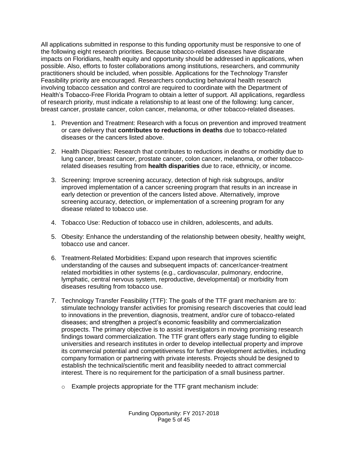All applications submitted in response to this funding opportunity must be responsive to one of the following eight research priorities. Because tobacco-related diseases have disparate impacts on Floridians, health equity and opportunity should be addressed in applications, when possible. Also, efforts to foster collaborations among institutions, researchers, and community practitioners should be included, when possible. Applications for the Technology Transfer Feasibility priority are encouraged. Researchers conducting behavioral health research involving tobacco cessation and control are required to coordinate with the Department of Health's Tobacco-Free Florida Program to obtain a letter of support. All applications, regardless of research priority, must indicate a relationship to at least one of the following: lung cancer, breast cancer, prostate cancer, colon cancer, melanoma, or other tobacco-related diseases.

- 1. Prevention and Treatment: Research with a focus on prevention and improved treatment or care delivery that **contributes to reductions in deaths** due to tobacco-related diseases or the cancers listed above.
- 2. Health Disparities: Research that contributes to reductions in deaths or morbidity due to lung cancer, breast cancer, prostate cancer, colon cancer, melanoma, or other tobaccorelated diseases resulting from **health disparities** due to race, ethnicity, or income.
- 3. Screening: Improve screening accuracy, detection of high risk subgroups, and/or improved implementation of a cancer screening program that results in an increase in early detection or prevention of the cancers listed above. Alternatively, improve screening accuracy, detection, or implementation of a screening program for any disease related to tobacco use.
- 4. Tobacco Use: Reduction of tobacco use in children, adolescents, and adults.
- 5. Obesity: Enhance the understanding of the relationship between obesity, healthy weight, tobacco use and cancer.
- 6. Treatment-Related Morbidities: Expand upon research that improves scientific understanding of the causes and subsequent impacts of: cancer/cancer-treatment related morbidities in other systems (e.g., cardiovascular, pulmonary, endocrine, lymphatic, central nervous system, reproductive, developmental) or morbidity from diseases resulting from tobacco use.
- 7. Technology Transfer Feasibility (TTF): The goals of the TTF grant mechanism are to: stimulate technology transfer activities for promising research discoveries that could lead to innovations in the prevention, diagnosis, treatment, and/or cure of tobacco-related diseases; and strengthen a project's economic feasibility and commercialization prospects. The primary objective is to assist investigators in moving promising research findings toward commercialization. The TTF grant offers early stage funding to eligible universities and research institutes in order to develop intellectual property and improve its commercial potential and competitiveness for further development activities, including company formation or partnering with private interests. Projects should be designed to establish the technical/scientific merit and feasibility needed to attract commercial interest. There is no requirement for the participation of a small business partner.
	- $\circ$  Example projects appropriate for the TTF grant mechanism include: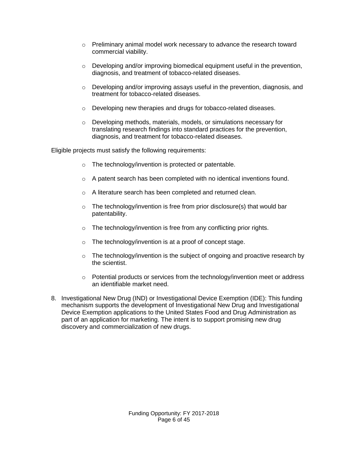- $\circ$  Preliminary animal model work necessary to advance the research toward commercial viability.
- $\circ$  Developing and/or improving biomedical equipment useful in the prevention, diagnosis, and treatment of tobacco-related diseases.
- $\circ$  Developing and/or improving assays useful in the prevention, diagnosis, and treatment for tobacco-related diseases.
- o Developing new therapies and drugs for tobacco-related diseases.
- o Developing methods, materials, models, or simulations necessary for translating research findings into standard practices for the prevention, diagnosis, and treatment for tobacco-related diseases.

Eligible projects must satisfy the following requirements:

- o The technology/invention is protected or patentable.
- $\circ$  A patent search has been completed with no identical inventions found.
- o A literature search has been completed and returned clean.
- $\circ$  The technology/invention is free from prior disclosure(s) that would bar patentability.
- $\circ$  The technology/invention is free from any conflicting prior rights.
- o The technology/invention is at a proof of concept stage.
- $\circ$  The technology/invention is the subject of ongoing and proactive research by the scientist.
- $\circ$  Potential products or services from the technology/invention meet or address an identifiable market need.
- 8. Investigational New Drug (IND) or Investigational Device Exemption (IDE): This funding mechanism supports the development of Investigational New Drug and Investigational Device Exemption applications to the United States Food and Drug Administration as part of an application for marketing. The intent is to support promising new drug discovery and commercialization of new drugs.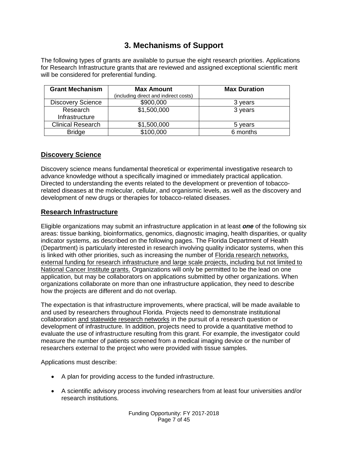## **3. Mechanisms of Support**

<span id="page-6-0"></span>The following types of grants are available to pursue the eight research priorities. Applications for Research Infrastructure grants that are reviewed and assigned exceptional scientific merit will be considered for preferential funding.

| <b>Grant Mechanism</b>   | <b>Max Amount</b>                     | <b>Max Duration</b> |
|--------------------------|---------------------------------------|---------------------|
|                          | (including direct and indirect costs) |                     |
| <b>Discovery Science</b> | \$900,000                             | 3 years             |
| Research                 | \$1,500,000                           | 3 years             |
| Infrastructure           |                                       |                     |
| <b>Clinical Research</b> | \$1,500,000                           | 5 years             |
| <b>Bridge</b>            | \$100,000                             | 6 months            |

### **Discovery Science**

Discovery science means fundamental theoretical or experimental investigative research to advance knowledge without a specifically imagined or immediately practical application. Directed to understanding the events related to the development or prevention of tobaccorelated diseases at the molecular, cellular, and organismic levels, as well as the discovery and development of new drugs or therapies for tobacco-related diseases.

### **Research Infrastructure**

Eligible organizations may submit an infrastructure application in at least *one* of the following six areas: tissue banking, bioinformatics, genomics, diagnostic imaging, health disparities, or quality indicator systems, as described on the following pages. The Florida Department of Health (Department) is particularly interested in research involving quality indicator systems, when this is linked with other priorities, such as increasing the number of Florida research networks, external funding for research infrastructure and large scale projects, including but not limited to National Cancer Institute grants. Organizations will only be permitted to be the lead on one application, but may be collaborators on applications submitted by other organizations. When organizations collaborate on more than one infrastructure application, they need to describe how the projects are different and do not overlap.

The expectation is that infrastructure improvements, where practical, will be made available to and used by researchers throughout Florida. Projects need to demonstrate institutional collaboration and statewide research networks in the pursuit of a research question or development of infrastructure. In addition, projects need to provide a quantitative method to evaluate the use of infrastructure resulting from this grant. For example, the investigator could measure the number of patients screened from a medical imaging device or the number of researchers external to the project who were provided with tissue samples.

Applications must describe:

- A plan for providing access to the funded infrastructure.
- A scientific advisory process involving researchers from at least four universities and/or research institutions.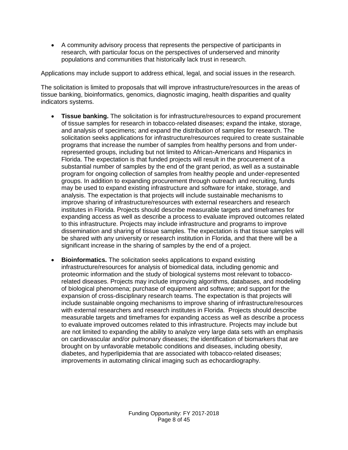A community advisory process that represents the perspective of participants in research, with particular focus on the perspectives of underserved and minority populations and communities that historically lack trust in research.

Applications may include support to address ethical, legal, and social issues in the research.

The solicitation is limited to proposals that will improve infrastructure/resources in the areas of tissue banking, bioinformatics, genomics, diagnostic imaging, health disparities and quality indicators systems.

- **Tissue banking.** The solicitation is for infrastructure/resources to expand procurement of tissue samples for research in tobacco-related diseases; expand the intake, storage, and analysis of specimens; and expand the distribution of samples for research. The solicitation seeks applications for infrastructure/resources required to create sustainable programs that increase the number of samples from healthy persons and from underrepresented groups, including but not limited to African-Americans and Hispanics in Florida. The expectation is that funded projects will result in the procurement of a substantial number of samples by the end of the grant period, as well as a sustainable program for ongoing collection of samples from healthy people and under-represented groups. In addition to expanding procurement through outreach and recruiting, funds may be used to expand existing infrastructure and software for intake, storage, and analysis. The expectation is that projects will include sustainable mechanisms to improve sharing of infrastructure/resources with external researchers and research institutes in Florida. Projects should describe measurable targets and timeframes for expanding access as well as describe a process to evaluate improved outcomes related to this infrastructure. Projects may include infrastructure and programs to improve dissemination and sharing of tissue samples. The expectation is that tissue samples will be shared with any university or research institution in Florida, and that there will be a significant increase in the sharing of samples by the end of a project.
- **Bioinformatics.** The solicitation seeks applications to expand existing infrastructure/resources for analysis of biomedical data, including genomic and proteomic information and the study of biological systems most relevant to tobaccorelated diseases. Projects may include improving algorithms, databases, and modeling of biological phenomena; purchase of equipment and software; and support for the expansion of cross-disciplinary research teams. The expectation is that projects will include sustainable ongoing mechanisms to improve sharing of infrastructure/resources with external researchers and research institutes in Florida. Projects should describe measurable targets and timeframes for expanding access as well as describe a process to evaluate improved outcomes related to this infrastructure. Projects may include but are not limited to expanding the ability to analyze very large data sets with an emphasis on cardiovascular and/or pulmonary diseases; the identification of biomarkers that are brought on by unfavorable metabolic conditions and diseases, including obesity, diabetes, and hyperlipidemia that are associated with tobacco-related diseases; improvements in automating clinical imaging such as echocardiography.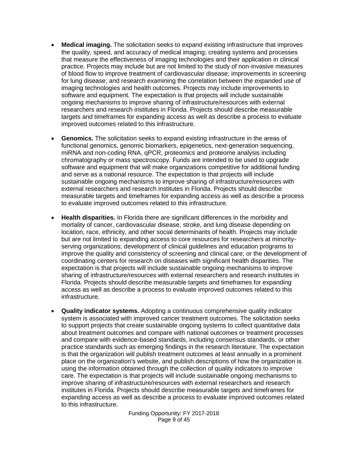- **Medical imaging.** The solicitation seeks to expand existing infrastructure that improves the quality, speed, and accuracy of medical imaging; creating systems and processes that measure the effectiveness of imaging technologies and their application in clinical practice. Projects may include but are not limited to the study of non-invasive measures of blood flow to improve treatment of cardiovascular disease; improvements in screening for lung disease; and research examining the correlation between the expanded use of imaging technologies and health outcomes. Projects may include improvements to software and equipment. The expectation is that projects will include sustainable ongoing mechanisms to improve sharing of infrastructure/resources with external researchers and research institutes in Florida. Projects should describe measurable targets and timeframes for expanding access as well as describe a process to evaluate improved outcomes related to this infrastructure.
- **Genomics.** The solicitation seeks to expand existing infrastructure in the areas of functional genomics, genomic biomarkers, epigenetics, next-generation sequencing, miRNA and non-coding RNA, qPCR, proteomics and proteome analysis including chromatography or mass spectroscopy. Funds are intended to be used to upgrade software and equipment that will make organizations competitive for additional funding and serve as a national resource. The expectation is that projects will include sustainable ongoing mechanisms to improve sharing of infrastructure/resources with external researchers and research institutes in Florida. Projects should describe measurable targets and timeframes for expanding access as well as describe a process to evaluate improved outcomes related to this infrastructure.
- **Health disparities.** In Florida there are significant differences in the morbidity and mortality of cancer, cardiovascular disease, stroke, and lung disease depending on location, race, ethnicity, and other social determinants of health. Projects may include but are not limited to expanding access to core resources for researchers at minorityserving organizations; development of clinical guidelines and education programs to improve the quality and consistency of screening and clinical care; or the development of coordinating centers for research on diseases with significant health disparities. The expectation is that projects will include sustainable ongoing mechanisms to improve sharing of infrastructure/resources with external researchers and research institutes in Florida. Projects should describe measurable targets and timeframes for expanding access as well as describe a process to evaluate improved outcomes related to this infrastructure.
- **Quality indicator systems.** Adopting a continuous comprehensive quality indicator system is associated with improved cancer treatment outcomes. The solicitation seeks to support projects that create sustainable ongoing systems to collect quantitative data about treatment outcomes and compare with national outcomes or treatment processes and compare with evidence-based standards, including consensus standards, or other practice standards such as emerging findings in the research literature. The expectation is that the organization will publish treatment outcomes at least annually in a prominent place on the organization's website, and publish descriptions of how the organization is using the information obtained through the collection of quality indicators to improve care. The expectation is that projects will include sustainable ongoing mechanisms to improve sharing of infrastructure/resources with external researchers and research institutes in Florida. Projects should describe measurable targets and timeframes for expanding access as well as describe a process to evaluate improved outcomes related to this infrastructure.

Funding Opportunity: FY 2017-2018 Page 9 of 45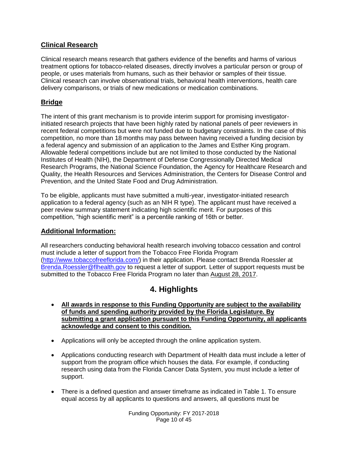### **Clinical Research**

Clinical research means research that gathers evidence of the benefits and harms of various treatment options for tobacco-related diseases, directly involves a particular person or group of people, or uses materials from humans, such as their behavior or samples of their tissue. Clinical research can involve observational trials, behavioral health interventions, health care delivery comparisons, or trials of new medications or medication combinations.

### **Bridge**

The intent of this grant mechanism is to provide interim support for promising investigatorinitiated research projects that have been highly rated by national panels of peer reviewers in recent federal competitions but were not funded due to budgetary constraints. In the case of this competition, no more than 18 months may pass between having received a funding decision by a federal agency and submission of an application to the James and Esther King program. Allowable federal competitions include but are not limited to those conducted by the National Institutes of Health (NIH), the Department of Defense Congressionally Directed Medical Research Programs, the National Science Foundation, the Agency for Healthcare Research and Quality, the Health Resources and Services Administration, the Centers for Disease Control and Prevention, and the United State Food and Drug Administration.

To be eligible, applicants must have submitted a multi-year, investigator-initiated research application to a federal agency (such as an NIH R type). The applicant must have received a peer review summary statement indicating high scientific merit. For purposes of this competition, "high scientific merit" is a percentile ranking of 16th or better.

### **Additional Information:**

All researchers conducting behavioral health research involving tobacco cessation and control must include a letter of support from the Tobacco Free Florida Program [\(http://www.tobaccofreeflorida.com/\)](http://www.tobaccofreeflorida.com/) in their application. Please contact Brenda Roessler at [Brenda.Roessler@flhealth.gov](mailto:Brenda.Roessler@flhealth.gov) to request a letter of support. Letter of support requests must be submitted to the Tobacco Free Florida Program no later than August 28, 2017.

## **4. Highlights**

- <span id="page-9-0"></span> **All awards in response to this Funding Opportunity are subject to the availability of funds and spending authority provided by the Florida Legislature. By submitting a grant application pursuant to this Funding Opportunity, all applicants acknowledge and consent to this condition.**
- Applications will only be accepted through the online application system.
- Applications conducting research with Department of Health data must include a letter of support from the program office which houses the data. For example, if conducting research using data from the Florida Cancer Data System, you must include a letter of support.
- There is a defined question and answer timeframe as indicated in Table 1. To ensure equal access by all applicants to questions and answers, all questions must be

Funding Opportunity: FY 2017-2018 Page 10 of 45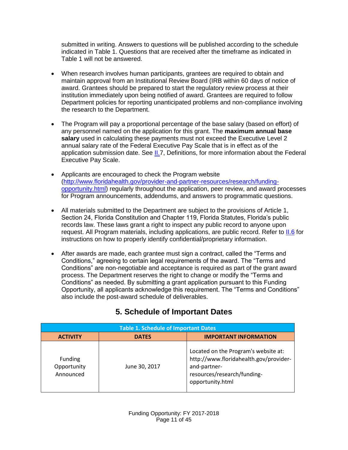submitted in writing. Answers to questions will be published according to the schedule indicated in Table 1. Questions that are received after the timeframe as indicated in Table 1 will not be answered.

- When research involves human participants, grantees are required to obtain and maintain approval from an Institutional Review Board (IRB within 60 days of notice of award. Grantees should be prepared to start the regulatory review process at their institution immediately upon being notified of award. Grantees are required to follow Department policies for reporting unanticipated problems and non-compliance involving the research to the Department.
- The Program will pay a proportional percentage of the base salary (based on effort) of any personnel named on the application for this grant. The **maximum annual base salary** used in calculating these payments must not exceed the Executive Level 2 annual salary rate of the Federal Executive Pay Scale that is in effect as of the application submission date. See [II.7](#page-20-0), Definitions, for more information about the Federal Executive Pay Scale.
- Applicants are encouraged to check the Program website [\(http://www.floridahealth.gov/provider-and-partner-resources/research/funding](http://www.floridahealth.gov/provider-and-partner-resources/research/funding-opportunity.html)[opportunity.html\)](http://www.floridahealth.gov/provider-and-partner-resources/research/funding-opportunity.html) regularly throughout the application, peer review, and award processes for Program announcements, addendums, and answers to programmatic questions.
- All materials submitted to the Department are subject to the provisions of Article 1, Section 24, Florida Constitution and Chapter 119, Florida Statutes, Florida's public records law. These laws grant a right to inspect any public record to anyone upon request. All Program materials, including applications, are public record. Refer to [II.6](#page-19-5) for instructions on how to properly identify confidential/proprietary information.
- After awards are made, each grantee must sign a contract, called the "Terms and Conditions," agreeing to certain legal requirements of the award. The "Terms and Conditions" are non-negotiable and acceptance is required as part of the grant award process. The Department reserves the right to change or modify the "Terms and Conditions" as needed. By submitting a grant application pursuant to this Funding Opportunity, all applicants acknowledge this requirement. The "Terms and Conditions" also include the post-award schedule of deliverables.

<span id="page-10-0"></span>

| <b>Table 1. Schedule of Important Dates</b> |               |                                                                                                                                                   |  |  |  |
|---------------------------------------------|---------------|---------------------------------------------------------------------------------------------------------------------------------------------------|--|--|--|
| <b>ACTIVITY</b>                             | <b>DATES</b>  | <b>IMPORTANT INFORMATION</b>                                                                                                                      |  |  |  |
| <b>Funding</b><br>Opportunity<br>Announced  | June 30, 2017 | Located on the Program's website at:<br>http://www.floridahealth.gov/provider-<br>and-partner-<br>resources/research/funding-<br>opportunity.html |  |  |  |

# **5. Schedule of Important Dates**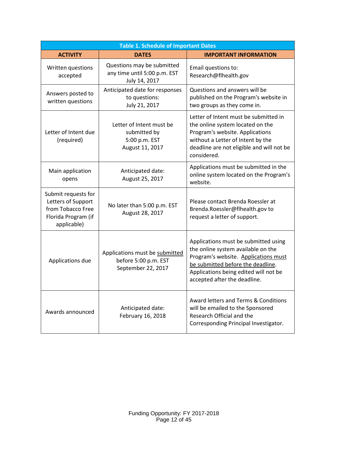| <b>Table 1. Schedule of Important Dates</b>                                                          |                                                                              |                                                                                                                                                                                                                                  |  |  |  |
|------------------------------------------------------------------------------------------------------|------------------------------------------------------------------------------|----------------------------------------------------------------------------------------------------------------------------------------------------------------------------------------------------------------------------------|--|--|--|
| <b>ACTIVITY</b>                                                                                      | <b>DATES</b>                                                                 | <b>IMPORTANT INFORMATION</b>                                                                                                                                                                                                     |  |  |  |
| Written questions<br>accepted                                                                        | Questions may be submitted<br>any time until 5:00 p.m. EST<br>July 14, 2017  | Email questions to:<br>Research@flhealth.gov                                                                                                                                                                                     |  |  |  |
| Answers posted to<br>written questions                                                               | Anticipated date for responses<br>to questions:<br>July 21, 2017             | Questions and answers will be<br>published on the Program's website in<br>two groups as they come in.                                                                                                                            |  |  |  |
| Letter of Intent due<br>(required)                                                                   | Letter of Intent must be<br>submitted by<br>5:00 p.m. EST<br>August 11, 2017 | Letter of Intent must be submitted in<br>the online system located on the<br>Program's website. Applications<br>without a Letter of Intent by the<br>deadline are not eligible and will not be<br>considered.                    |  |  |  |
| Main application<br>opens                                                                            | Anticipated date:<br>August 25, 2017                                         | Applications must be submitted in the<br>online system located on the Program's<br>website.                                                                                                                                      |  |  |  |
| Submit requests for<br>Letters of Support<br>from Tobacco Free<br>Florida Program (if<br>applicable) | No later than 5:00 p.m. EST<br>August 28, 2017                               | Please contact Brenda Roessler at<br>Brenda.Roessler@flhealth.gov to<br>request a letter of support.                                                                                                                             |  |  |  |
| Applications due                                                                                     | Applications must be submitted<br>before 5:00 p.m. EST<br>September 22, 2017 | Applications must be submitted using<br>the online system available on the<br>Program's website. Applications must<br>be submitted before the deadline.<br>Applications being edited will not be<br>accepted after the deadline. |  |  |  |
| Awards announced                                                                                     | Anticipated date:<br>February 16, 2018                                       | Award letters and Terms & Conditions<br>will be emailed to the Sponsored<br>Research Official and the<br>Corresponding Principal Investigator.                                                                                   |  |  |  |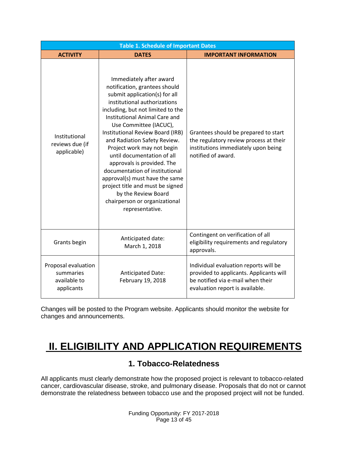| <b>Table 1. Schedule of Important Dates</b>                    |                                                                                                                                                                                                                                                                                                                                                                                                                                                                                                                                                                            |                                                                                                                                                          |  |  |  |  |
|----------------------------------------------------------------|----------------------------------------------------------------------------------------------------------------------------------------------------------------------------------------------------------------------------------------------------------------------------------------------------------------------------------------------------------------------------------------------------------------------------------------------------------------------------------------------------------------------------------------------------------------------------|----------------------------------------------------------------------------------------------------------------------------------------------------------|--|--|--|--|
| <b>ACTIVITY</b>                                                | <b>DATES</b>                                                                                                                                                                                                                                                                                                                                                                                                                                                                                                                                                               | <b>IMPORTANT INFORMATION</b>                                                                                                                             |  |  |  |  |
| Institutional<br>reviews due (if<br>applicable)                | Immediately after award<br>notification, grantees should<br>submit application(s) for all<br>institutional authorizations<br>including, but not limited to the<br>Institutional Animal Care and<br>Use Committee (IACUC),<br>Institutional Review Board (IRB)<br>and Radiation Safety Review.<br>Project work may not begin<br>until documentation of all<br>approvals is provided. The<br>documentation of institutional<br>approval(s) must have the same<br>project title and must be signed<br>by the Review Board<br>chairperson or organizational<br>representative. | Grantees should be prepared to start<br>the regulatory review process at their<br>institutions immediately upon being<br>notified of award.              |  |  |  |  |
| Grants begin                                                   | Anticipated date:<br>March 1, 2018                                                                                                                                                                                                                                                                                                                                                                                                                                                                                                                                         | Contingent on verification of all<br>eligibility requirements and regulatory<br>approvals.                                                               |  |  |  |  |
| Proposal evaluation<br>summaries<br>available to<br>applicants | <b>Anticipated Date:</b><br>February 19, 2018                                                                                                                                                                                                                                                                                                                                                                                                                                                                                                                              | Individual evaluation reports will be<br>provided to applicants. Applicants will<br>be notified via e-mail when their<br>evaluation report is available. |  |  |  |  |

<span id="page-12-2"></span>Changes will be posted to the Program website. Applicants should monitor the website for changes and announcements.

# <span id="page-12-0"></span>**II. ELIGIBILITY AND APPLICATION REQUIREMENTS**

## **1. Tobacco-Relatedness**

<span id="page-12-1"></span>All applicants must clearly demonstrate how the proposed project is relevant to tobacco-related cancer, cardiovascular disease, stroke, and pulmonary disease. Proposals that do not or cannot demonstrate the relatedness between tobacco use and the proposed project will not be funded.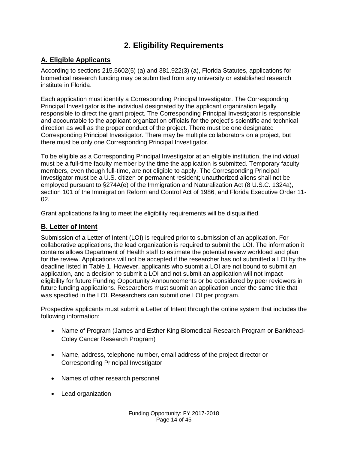# **2. Eligibility Requirements**

### <span id="page-13-1"></span><span id="page-13-0"></span>**A. Eligible Applicants**

According to sections 215.5602(5) (a) and 381.922(3) (a), Florida Statutes, applications for biomedical research funding may be submitted from any university or established research institute in Florida.

Each application must identify a Corresponding Principal Investigator. The Corresponding Principal Investigator is the individual designated by the applicant organization legally responsible to direct the grant project. The Corresponding Principal Investigator is responsible and accountable to the applicant organization officials for the project's scientific and technical direction as well as the proper conduct of the project. There must be one designated Corresponding Principal Investigator. There may be multiple collaborators on a project, but there must be only one Corresponding Principal Investigator.

To be eligible as a Corresponding Principal Investigator at an eligible institution, the individual must be a full-time faculty member by the time the application is submitted. Temporary faculty members, even though full-time, are not eligible to apply. The Corresponding Principal Investigator must be a U.S. citizen or permanent resident; unauthorized aliens shall not be employed pursuant to §274A(e) of the Immigration and Naturalization Act (8 U.S.C. 1324a), section 101 of the Immigration Reform and Control Act of 1986, and Florida Executive Order 11- 02.

Grant applications failing to meet the eligibility requirements will be disqualified.

### <span id="page-13-2"></span>**B. Letter of Intent**

Submission of a Letter of Intent (LOI) is required prior to submission of an application. For collaborative applications, the lead organization is required to submit the LOI. The information it contains allows Department of Health staff to estimate the potential review workload and plan for the review. Applications will not be accepted if the researcher has not submitted a LOI by the deadline listed in Table 1. However, applicants who submit a LOI are not bound to submit an application, and a decision to submit a LOI and not submit an application will not impact eligibility for future Funding Opportunity Announcements or be considered by peer reviewers in future funding applications. Researchers must submit an application under the same title that was specified in the LOI. Researchers can submit one LOI per program.

Prospective applicants must submit a Letter of Intent through the online system that includes the following information:

- Name of Program (James and Esther King Biomedical Research Program or Bankhead-Coley Cancer Research Program)
- Name, address, telephone number, email address of the project director or Corresponding Principal Investigator
- Names of other research personnel
- Lead organization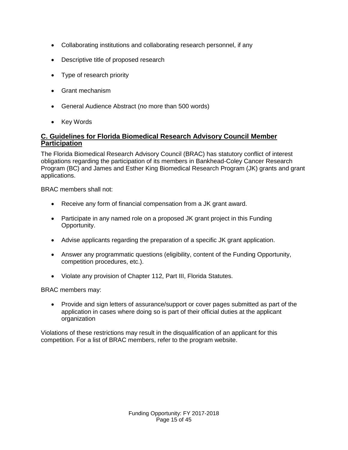- Collaborating institutions and collaborating research personnel, if any
- Descriptive title of proposed research
- Type of research priority
- Grant mechanism
- General Audience Abstract (no more than 500 words)
- Key Words

### <span id="page-14-0"></span>**C. Guidelines for Florida Biomedical Research Advisory Council Member Participation**

The Florida Biomedical Research Advisory Council (BRAC) has statutory conflict of interest obligations regarding the participation of its members in Bankhead-Coley Cancer Research Program (BC) and James and Esther King Biomedical Research Program (JK) grants and grant applications.

BRAC members shall not:

- Receive any form of financial compensation from a JK grant award.
- Participate in any named role on a proposed JK grant project in this Funding Opportunity.
- Advise applicants regarding the preparation of a specific JK grant application.
- Answer any programmatic questions (eligibility, content of the Funding Opportunity, competition procedures, etc.).
- Violate any provision of Chapter 112, Part III, Florida Statutes.

BRAC members may:

• Provide and sign letters of assurance/support or cover pages submitted as part of the application in cases where doing so is part of their official duties at the applicant organization

Violations of these restrictions may result in the disqualification of an applicant for this competition. For a list of BRAC members, refer to the program website.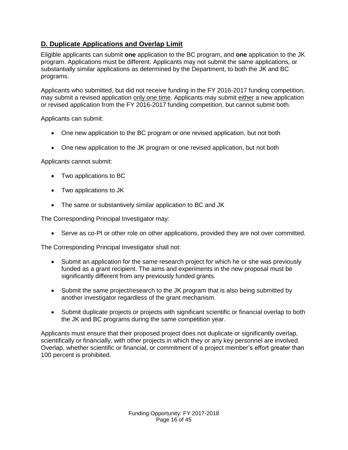### <span id="page-15-0"></span>**D. Duplicate Applications and Overlap Limit**

Eligible applicants can submit **one** application to the BC program, and **one** application to the JK program. Applications must be different. Applicants may not submit the same applications, or substantially similar applications as determined by the Department, to both the JK and BC programs.

Applicants who submitted, but did not receive funding in the FY 2016-2017 funding competition, may submit a revised application only one time. Applicants may submit either a new application or revised application from the FY 2016-2017 funding competition, but cannot submit both.

Applicants can submit:

- One new application to the BC program or one revised application, but not both
- One new application to the JK program or one revised application, but not both

Applicants cannot submit:

- Two applications to BC
- Two applications to JK
- The same or substantively similar application to BC and JK

The Corresponding Principal Investigator may:

Serve as co-PI or other role on other applications, provided they are not over committed.

The Corresponding Principal Investigator shall not:

- Submit an application for the same research project for which he or she was previously funded as a grant recipient. The aims and experiments in the new proposal must be significantly different from any previously funded grants.
- Submit the same project/research to the JK program that is also being submitted by another investigator regardless of the grant mechanism.
- Submit duplicate projects or projects with significant scientific or financial overlap to both the JK and BC programs during the same competition year.

Applicants must ensure that their proposed project does not duplicate or significantly overlap, scientifically or financially, with other projects in which they or any key personnel are involved. Overlap, whether scientific or financial, or commitment of a project member's effort greater than 100 percent is prohibited.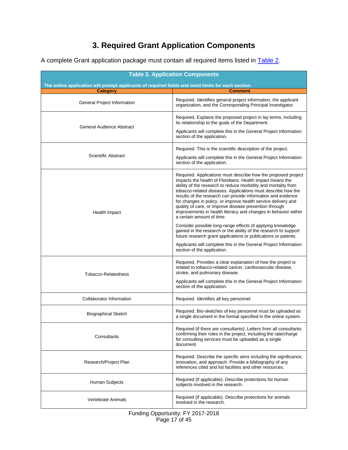# **3. Required Grant Application Components**

<span id="page-16-0"></span>A complete Grant application package must contain all required items listed in [Table 2.](#page-16-1)

<span id="page-16-1"></span>

| <b>Table 2. Application Components</b>                                                             |                                                                                                                                                                                                                                                                                                                                                                                                                                                                                                                                                        |  |  |  |  |
|----------------------------------------------------------------------------------------------------|--------------------------------------------------------------------------------------------------------------------------------------------------------------------------------------------------------------------------------------------------------------------------------------------------------------------------------------------------------------------------------------------------------------------------------------------------------------------------------------------------------------------------------------------------------|--|--|--|--|
| The online application will prompt applicants of required fields and word limits for each section. |                                                                                                                                                                                                                                                                                                                                                                                                                                                                                                                                                        |  |  |  |  |
| <b>Category</b>                                                                                    | <b>Comment</b>                                                                                                                                                                                                                                                                                                                                                                                                                                                                                                                                         |  |  |  |  |
| General Project Information                                                                        | Required. Identifies general project information, the applicant<br>organization, and the Corresponding Principal Investigator.                                                                                                                                                                                                                                                                                                                                                                                                                         |  |  |  |  |
| General Audience Abstract                                                                          | Required. Explains the proposed project in lay terms, including<br>its relationship to the goals of the Department.<br>Applicants will complete this in the General Project Information                                                                                                                                                                                                                                                                                                                                                                |  |  |  |  |
|                                                                                                    | section of the application.                                                                                                                                                                                                                                                                                                                                                                                                                                                                                                                            |  |  |  |  |
| <b>Scientific Abstract</b>                                                                         | Required. This is the scientific description of the project.                                                                                                                                                                                                                                                                                                                                                                                                                                                                                           |  |  |  |  |
|                                                                                                    | Applicants will complete this in the General Project Information<br>section of the application.                                                                                                                                                                                                                                                                                                                                                                                                                                                        |  |  |  |  |
| Health Impact                                                                                      | Required. Applications must describe how the proposed project<br>impacts the health of Floridians. Health impact means the<br>ability of the research to reduce morbidity and mortality from<br>tobacco-related diseases. Applications must describe how the<br>results of the research can provide information and evidence<br>for changes in policy, or improve health service delivery and<br>quality of care, or improve disease prevention through<br>improvements in health literacy and changes in behavior within<br>a certain amount of time. |  |  |  |  |
|                                                                                                    | Consider possible long-range effects of applying knowledge<br>gained in the research or the ability of the research to support<br>future research grant applications or publications or patents.<br>Applicants will complete this in the General Project Information<br>section of the application.                                                                                                                                                                                                                                                    |  |  |  |  |
| <b>Tobacco-Relatedness</b>                                                                         | Required. Provides a clear explanation of how the project is<br>related to tobacco-related cancer, cardiovascular disease,<br>stroke, and pulmonary disease.<br>Applicants will complete this in the General Project Information<br>section of the application.                                                                                                                                                                                                                                                                                        |  |  |  |  |
| Collaborator Information                                                                           | Required. Identifies all key personnel.                                                                                                                                                                                                                                                                                                                                                                                                                                                                                                                |  |  |  |  |
| <b>Biographical Sketch</b>                                                                         | Required. Bio-sketches of key personnel must be uploaded as<br>a single document in the format specified in the online system.                                                                                                                                                                                                                                                                                                                                                                                                                         |  |  |  |  |
| Consultants                                                                                        | Required (if there are consultants). Letters from all consultants<br>confirming their roles in the project, including the rate/charge<br>for consulting services must be uploaded as a single<br>document.                                                                                                                                                                                                                                                                                                                                             |  |  |  |  |
| Research/Project Plan                                                                              | Required. Describe the specific aims including the significance,<br>innovation, and approach. Provide a bibliography of any<br>references cited and list facilities and other resources.                                                                                                                                                                                                                                                                                                                                                               |  |  |  |  |
| Human Subjects                                                                                     | Required (if applicable). Describe protections for human<br>subjects involved in the research.                                                                                                                                                                                                                                                                                                                                                                                                                                                         |  |  |  |  |
| Vertebrate Animals                                                                                 | Required (if applicable). Describe protections for animals<br>involved in the research.                                                                                                                                                                                                                                                                                                                                                                                                                                                                |  |  |  |  |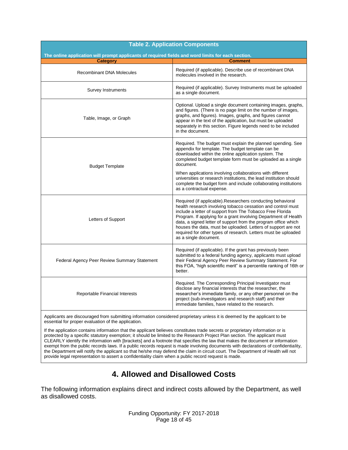| <b>Table 2. Application Components</b><br>The online application will prompt applicants of required fields and word limits for each section. |                                                                                                                                                                                                                                                                                                                                                                                                                                                                                           |  |  |  |
|----------------------------------------------------------------------------------------------------------------------------------------------|-------------------------------------------------------------------------------------------------------------------------------------------------------------------------------------------------------------------------------------------------------------------------------------------------------------------------------------------------------------------------------------------------------------------------------------------------------------------------------------------|--|--|--|
| <b>Category</b>                                                                                                                              | <b>Comment</b>                                                                                                                                                                                                                                                                                                                                                                                                                                                                            |  |  |  |
| <b>Recombinant DNA Molecules</b>                                                                                                             | Required (if applicable). Describe use of recombinant DNA<br>molecules involved in the research.                                                                                                                                                                                                                                                                                                                                                                                          |  |  |  |
| <b>Survey Instruments</b>                                                                                                                    | Required (if applicable). Survey Instruments must be uploaded<br>as a single document.                                                                                                                                                                                                                                                                                                                                                                                                    |  |  |  |
| Table, Image, or Graph                                                                                                                       | Optional. Upload a single document containing images, graphs,<br>and figures. (There is no page limit on the number of images,<br>graphs, and figures). Images, graphs, and figures cannot<br>appear in the text of the application, but must be uploaded<br>separately in this section. Figure legends need to be included<br>in the document.                                                                                                                                           |  |  |  |
| <b>Budget Template</b>                                                                                                                       | Required. The budget must explain the planned spending. See<br>appendix for template. The budget template can be<br>downloaded within the online application system. The<br>completed budget template form must be uploaded as a single<br>document.                                                                                                                                                                                                                                      |  |  |  |
|                                                                                                                                              | When applications involving collaborations with different<br>universities or research institutions, the lead institution should<br>complete the budget form and include collaborating institutions<br>as a contractual expense.                                                                                                                                                                                                                                                           |  |  |  |
| Letters of Support                                                                                                                           | Required (if applicable). Researchers conducting behavioral<br>health research involving tobacco cessation and control must<br>include a letter of support from The Tobacco Free Florida<br>Program. If applying for a grant involving Department of Health<br>data, a signed letter of support from the program office which<br>houses the data, must be uploaded. Letters of support are not<br>required for other types of research. Letters must be uploaded<br>as a single document. |  |  |  |
| Federal Agency Peer Review Summary Statement                                                                                                 | Required (if applicable). If the grant has previously been<br>submitted to a federal funding agency, applicants must upload<br>their Federal Agency Peer Review Summary Statement. For<br>this FOA, "high scientific merit" is a percentile ranking of 16th or<br>better.                                                                                                                                                                                                                 |  |  |  |
| Reportable Financial Interests                                                                                                               | Required. The Corresponding Principal Investigator must<br>disclose any financial interests that the researcher, the<br>researcher's immediate family, or any other personnel on the<br>project (sub-investigators and research staff) and their<br>immediate families, have related to the research.                                                                                                                                                                                     |  |  |  |
| Applicants are discouraged from submitting information considered proprietary unless it is deemed by the applicant to be                     |                                                                                                                                                                                                                                                                                                                                                                                                                                                                                           |  |  |  |

essential for proper evaluation of the application.

If the application contains information that the applicant believes constitutes trade secrets or proprietary information or is protected by a specific statutory exemption; it should be limited to the Research Project Plan section. The applicant must CLEARLY identify the information with [brackets] and a footnote that specifies the law that makes the document or information exempt from the public records laws. If a public records request is made involving documents with declarations of confidentiality, the Department will notify the applicant so that he/she may defend the claim in circuit court. The Department of Health will not provide legal representation to assert a confidentiality claim when a public record request is made.

# **4. Allowed and Disallowed Costs**

<span id="page-17-0"></span>The following information explains direct and indirect costs allowed by the Department, as well as disallowed costs.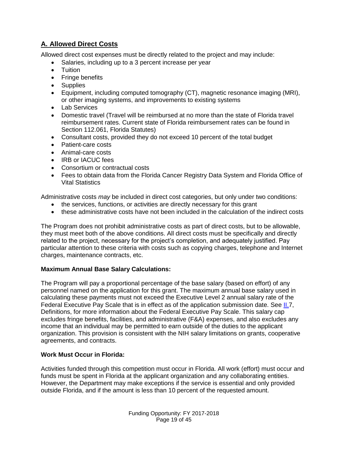### <span id="page-18-0"></span>**A. Allowed Direct Costs**

Allowed direct cost expenses must be directly related to the project and may include:

- Salaries, including up to a 3 percent increase per year
- **•** Tuition
- Fringe benefits
- Supplies
- Equipment, including computed tomography (CT), magnetic resonance imaging (MRI), or other imaging systems, and improvements to existing systems
- Lab Services
- Domestic travel (Travel will be reimbursed at no more than the state of Florida travel reimbursement rates. Current state of Florida reimbursement rates can be found in Section 112.061, Florida Statutes)
- Consultant costs, provided they do not exceed 10 percent of the total budget
- Patient-care costs
- Animal-care costs
- IRB or IACUC fees
- Consortium or contractual costs
- Fees to obtain data from the Florida Cancer Registry Data System and Florida Office of Vital Statistics

Administrative costs *may* be included in direct cost categories, but only under two conditions:

- the services, functions, or activities are directly necessary for this grant
- these administrative costs have not been included in the calculation of the indirect costs

The Program does not prohibit administrative costs as part of direct costs, but to be allowable, they must meet both of the above conditions. All direct costs must be specifically and directly related to the project, necessary for the project's completion, and adequately justified. Pay particular attention to these criteria with costs such as copying charges, telephone and Internet charges, maintenance contracts, etc.

#### **Maximum Annual Base Salary Calculations:**

The Program will pay a proportional percentage of the base salary (based on effort) of any personnel named on the application for this grant. The maximum annual base salary used in calculating these payments must not exceed the Executive Level 2 annual salary rate of the Federal Executive Pay Scale that is in effect as of the application submission date. See [II.7](#page-20-0), Definitions, for more information about the Federal Executive Pay Scale. This salary cap excludes fringe benefits, facilities, and administrative (F&A) expenses, and also excludes any income that an individual may be permitted to earn outside of the duties to the applicant organization. This provision is consistent with the NIH salary limitations on grants, cooperative agreements, and contracts.

#### **Work Must Occur in Florida:**

Activities funded through this competition must occur in Florida. All work (effort) must occur and funds must be spent in Florida at the applicant organization and any collaborating entities. However, the Department may make exceptions if the service is essential and only provided outside Florida, and if the amount is less than 10 percent of the requested amount.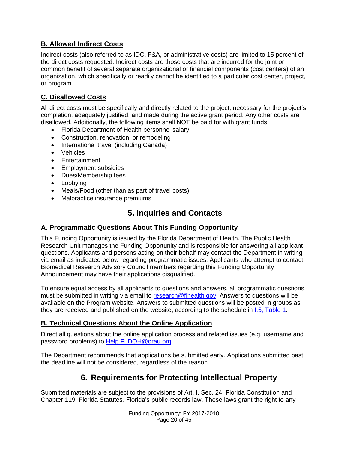### <span id="page-19-0"></span>**B. Allowed Indirect Costs**

Indirect costs (also referred to as IDC, F&A, or administrative costs) are limited to 15 percent of the direct costs requested. Indirect costs are those costs that are incurred for the joint or common benefit of several separate organizational or financial components (cost centers) of an organization, which specifically or readily cannot be identified to a particular cost center, project, or program.

### <span id="page-19-1"></span>**C. Disallowed Costs**

All direct costs must be specifically and directly related to the project, necessary for the project's completion, adequately justified, and made during the active grant period. Any other costs are disallowed. Additionally, the following items shall NOT be paid for with grant funds:

- Florida Department of Health personnel salary
- Construction, renovation, or remodeling
- International travel (including Canada)
- Vehicles
- Entertainment
- Employment subsidies
- Dues/Membership fees
- Lobbying
- Meals/Food (other than as part of travel costs)
- Malpractice insurance premiums

# <span id="page-19-2"></span>**5. Inquiries and Contacts**

### <span id="page-19-3"></span>**A. Programmatic Questions About This Funding Opportunity**

This Funding Opportunity is issued by the Florida Department of Health. The Public Health Research Unit manages the Funding Opportunity and is responsible for answering all applicant questions. Applicants and persons acting on their behalf may contact the Department in writing via email as indicated below regarding programmatic issues. Applicants who attempt to contact Biomedical Research Advisory Council members regarding this Funding Opportunity Announcement may have their applications disqualified.

To ensure equal access by all applicants to questions and answers, all programmatic questions must be submitted in writing via email to [research@flhealth.gov.](mailto:research@flhealth.gov) Answers to questions will be available on the Program website. Answers to submitted questions will be posted in groups as they are received and published on the website, according to the schedule in [I.5, Table 1.](#page-12-2)

### <span id="page-19-4"></span>**B. Technical Questions About the Online Application**

Direct all questions about the online application process and related issues (e.g. username and password problems) to [Help.FLDOH@orau.org](mailto:Help.FLDOH@orau.org).

The Department recommends that applications be submitted early. Applications submitted past the deadline will not be considered, regardless of the reason.

## **6. Requirements for Protecting Intellectual Property**

<span id="page-19-5"></span>Submitted materials are subject to the provisions of Art. I, Sec. 24, Florida Constitution and Chapter 119, Florida Statutes*,* Florida's public records law. These laws grant the right to any

> Funding Opportunity: FY 2017-2018 Page 20 of 45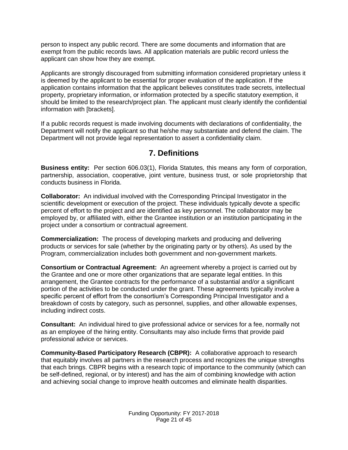person to inspect any public record. There are some documents and information that are exempt from the public records laws. All application materials are public record unless the applicant can show how they are exempt.

Applicants are strongly discouraged from submitting information considered proprietary unless it is deemed by the applicant to be essential for proper evaluation of the application. If the application contains information that the applicant believes constitutes trade secrets, intellectual property, proprietary information, or information protected by a specific statutory exemption, it should be limited to the research/project plan. The applicant must clearly identify the confidential information with [brackets].

If a public records request is made involving documents with declarations of confidentiality, the Department will notify the applicant so that he/she may substantiate and defend the claim. The Department will not provide legal representation to assert a confidentiality claim.

### **7. Definitions**

<span id="page-20-0"></span>**Business entity:** Per section 606.03(1), Florida Statutes*,* this means any form of corporation, partnership, association, cooperative, joint venture, business trust, or sole proprietorship that conducts business in Florida.

**Collaborator:** An individual involved with the Corresponding Principal Investigator in the scientific development or execution of the project. These individuals typically devote a specific percent of effort to the project and are identified as key personnel. The collaborator may be employed by, or affiliated with, either the Grantee institution or an institution participating in the project under a consortium or contractual agreement.

**Commercialization:** The process of developing markets and producing and delivering products or services for sale (whether by the originating party or by others). As used by the Program, commercialization includes both government and non-government markets.

**Consortium or Contractual Agreement:** An agreement whereby a project is carried out by the Grantee and one or more other organizations that are separate legal entities. In this arrangement, the Grantee contracts for the performance of a substantial and/or a significant portion of the activities to be conducted under the grant. These agreements typically involve a specific percent of effort from the consortium's Corresponding Principal Investigator and a breakdown of costs by category, such as personnel, supplies, and other allowable expenses, including indirect costs.

**Consultant:** An individual hired to give professional advice or services for a fee, normally not as an employee of the hiring entity. Consultants may also include firms that provide paid professional advice or services.

**Community-Based Participatory Research (CBPR):** A collaborative approach to research that equitably involves all partners in the research process and recognizes the unique strengths that each brings. CBPR begins with a research topic of importance to the community (which can be self-defined, regional, or by interest) and has the aim of combining knowledge with action and achieving social change to improve health outcomes and eliminate health disparities.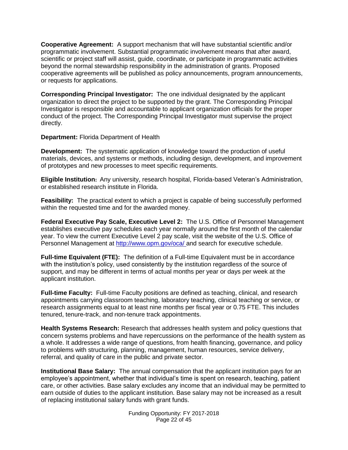**Cooperative Agreement:** A support mechanism that will have substantial scientific and/or programmatic involvement. Substantial programmatic involvement means that after award, scientific or project staff will assist, guide, coordinate, or participate in programmatic activities beyond the normal stewardship responsibility in the administration of grants. Proposed cooperative agreements will be published as policy announcements, program announcements, or requests for applications.

**Corresponding Principal Investigator:** The one individual designated by the applicant organization to direct the project to be supported by the grant. The Corresponding Principal Investigator is responsible and accountable to applicant organization officials for the proper conduct of the project. The Corresponding Principal Investigator must supervise the project directly.

**Department:** Florida Department of Health

**Development:** The systematic application of knowledge toward the production of useful materials, devices, and systems or methods, including design, development, and improvement of prototypes and new processes to meet specific requirements.

**Eligible Institution:** Any university, research hospital, Florida-based Veteran's Administration, or established research institute in Florida.

**Feasibility:** The practical extent to which a project is capable of being successfully performed within the requested time and for the awarded money.

**Federal Executive Pay Scale, Executive Level 2:** The U.S. Office of Personnel Management establishes executive pay schedules each year normally around the first month of the calendar year. To view the current Executive Level 2 pay scale, visit the website of the U.S. Office of Personnel Management at [http://www.opm.gov/oca/ a](http://www.opm.gov/oca/)nd search for executive schedule.

**Full-time Equivalent (FTE):** The definition of a Full-time Equivalent must be in accordance with the institution's policy, used consistently by the institution regardless of the source of support, and may be different in terms of actual months per year or days per week at the applicant institution.

**Full-time Faculty:**Full-time Faculty positions are defined as teaching, clinical, and research appointments carrying classroom teaching, laboratory teaching, clinical teaching or service, or research assignments equal to at least nine months per fiscal year or 0.75 FTE. This includes tenured, tenure-track, and non-tenure track appointments.

**Health Systems Research:** Research that addresses health system and policy questions that concern systems problems and have repercussions on the performance of the health system as a whole. It addresses a wide range of questions, from health financing, governance, and policy to problems with structuring, planning, management, human resources, service delivery, referral, and quality of care in the public and private sector.

**Institutional Base Salary:** The annual compensation that the applicant institution pays for an employee's appointment, whether that individual's time is spent on research, teaching, patient care, or other activities. Base salary excludes any income that an individual may be permitted to earn outside of duties to the applicant institution. Base salary may not be increased as a result of replacing institutional salary funds with grant funds.

> Funding Opportunity: FY 2017-2018 Page 22 of 45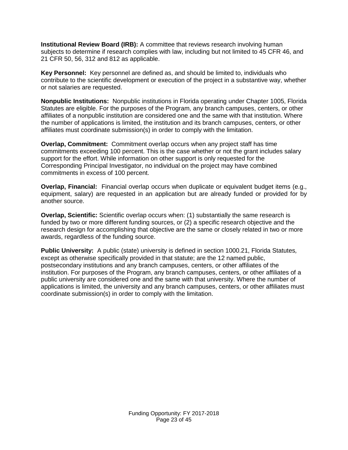**Institutional Review Board (IRB):** A committee that reviews research involving human subjects to determine if research complies with law, including but not limited to 45 CFR 46, and 21 CFR 50, 56, 312 and 812 as applicable.

**Key Personnel:** Key personnel are defined as, and should be limited to, individuals who contribute to the scientific development or execution of the project in a substantive way, whether or not salaries are requested.

**Nonpublic Institutions:** Nonpublic institutions in Florida operating under Chapter 1005, Florida Statutes are eligible. For the purposes of the Program, any branch campuses, centers, or other affiliates of a nonpublic institution are considered one and the same with that institution. Where the number of applications is limited, the institution and its branch campuses, centers, or other affiliates must coordinate submission(s) in order to comply with the limitation.

**Overlap, Commitment:** Commitment overlap occurs when any project staff has time commitments exceeding 100 percent. This is the case whether or not the grant includes salary support for the effort. While information on other support is only requested for the Corresponding Principal Investigator, no individual on the project may have combined commitments in excess of 100 percent.

**Overlap, Financial:** Financial overlap occurs when duplicate or equivalent budget items (e.g., equipment, salary) are requested in an application but are already funded or provided for by another source.

**Overlap, Scientific:** Scientific overlap occurs when: (1) substantially the same research is funded by two or more different funding sources, or (2) a specific research objective and the research design for accomplishing that objective are the same or closely related in two or more awards, regardless of the funding source.

**Public University:** A public (state) university is defined in section 1000.21, Florida Statutes*,* except as otherwise specifically provided in that statute; are the 12 named public, postsecondary institutions and any branch campuses, centers, or other affiliates of the institution. For purposes of the Program, any branch campuses, centers, or other affiliates of a public university are considered one and the same with that university. Where the number of applications is limited, the university and any branch campuses, centers, or other affiliates must coordinate submission(s) in order to comply with the limitation.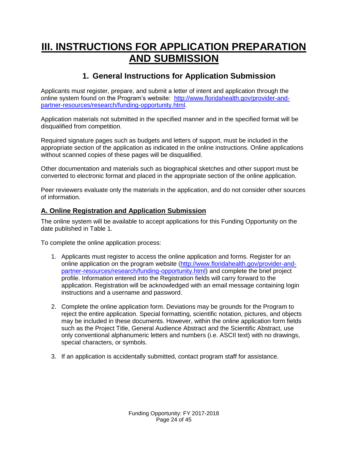# <span id="page-23-0"></span>**III. INSTRUCTIONS FOR APPLICATION PREPARATION AND SUBMISSION**

## **1. General Instructions for Application Submission**

<span id="page-23-1"></span>Applicants must register, prepare, and submit a letter of intent and application through the online system found on the Program's website: [http://www.floridahealth.gov/provider-and](http://www.floridahealth.gov/provider-and-partner-resources/research/funding-opportunity.html)[partner-resources/research/funding-opportunity.html.](http://www.floridahealth.gov/provider-and-partner-resources/research/funding-opportunity.html)

Application materials not submitted in the specified manner and in the specified format will be disqualified from competition.

Required signature pages such as budgets and letters of support, must be included in the appropriate section of the application as indicated in the online instructions. Online applications without scanned copies of these pages will be disqualified.

Other documentation and materials such as biographical sketches and other support must be converted to electronic format and placed in the appropriate section of the online application.

Peer reviewers evaluate only the materials in the application, and do not consider other sources of information.

### <span id="page-23-2"></span>**A. Online Registration and Application Submission**

The online system will be available to accept applications for this Funding Opportunity on the date published in Table 1.

To complete the online application process:

- 1. Applicants must register to access the online application and forms. Register for an online application on the program website [\(http://www.floridahealth.gov/provider-and](http://www.floridahealth.gov/provider-and-partner-resources/research/funding-opportunity.html)[partner-resources/research/funding-opportunity.html\)](http://www.floridahealth.gov/provider-and-partner-resources/research/funding-opportunity.html) and complete the brief project profile. Information entered into the Registration fields will carry forward to the application. Registration will be acknowledged with an email message containing login instructions and a username and password.
- 2. Complete the online application form. Deviations may be grounds for the Program to reject the entire application. Special formatting, scientific notation, pictures, and objects may be included in these documents. However, within the online application form fields such as the Project Title, General Audience Abstract and the Scientific Abstract, use only conventional alphanumeric letters and numbers (i.e. ASCII text) with no drawings, special characters, or symbols.
- 3. If an application is accidentally submitted, contact program staff for assistance.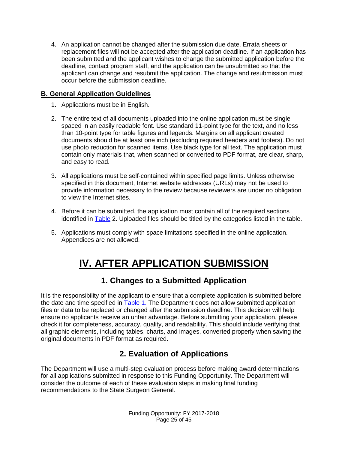4. An application cannot be changed after the submission due date. Errata sheets or replacement files will not be accepted after the application deadline. If an application has been submitted and the applicant wishes to change the submitted application before the deadline, contact program staff, and the application can be unsubmitted so that the applicant can change and resubmit the application. The change and resubmission must occur before the submission deadline.

### <span id="page-24-0"></span>**B. General Application Guidelines**

- 1. Applications must be in English.
- 2. The entire text of all documents uploaded into the online application must be single spaced in an easily readable font. Use standard 11-point type for the text, and no less than 10-point type for table figures and legends. Margins on all applicant created documents should be at least one inch (excluding required headers and footers). Do not use photo reduction for scanned items. Use black type for all text. The application must contain only materials that, when scanned or converted to PDF format, are clear, sharp, and easy to read.
- 3. All applications must be self-contained within specified page limits. Unless otherwise specified in this document, Internet website addresses (URLs) may not be used to provide information necessary to the review because reviewers are under no obligation to view the Internet sites.
- 4. Before it can be submitted, the application must contain all of the required sections identified in [Table](#page-12-2) 2. Uploaded files should be titled by the categories listed in the table.
- <span id="page-24-1"></span>5. Applications must comply with space limitations specified in the online application. Appendices are not allowed.

# **IV. AFTER APPLICATION SUBMISSION**

## **1. Changes to a Submitted Application**

<span id="page-24-2"></span>It is the responsibility of the applicant to ensure that a complete application is submitted before the date and time specified in [Table 1.](#page-12-2) The Department does not allow submitted application files or data to be replaced or changed after the submission deadline. This decision will help ensure no applicants receive an unfair advantage. Before submitting your application, please check it for completeness, accuracy, quality, and readability. This should include verifying that all graphic elements, including tables, charts, and images, converted properly when saving the original documents in PDF format as required.

# **2. Evaluation of Applications**

<span id="page-24-3"></span>The Department will use a multi-step evaluation process before making award determinations for all applications submitted in response to this Funding Opportunity. The Department will consider the outcome of each of these evaluation steps in making final funding recommendations to the State Surgeon General.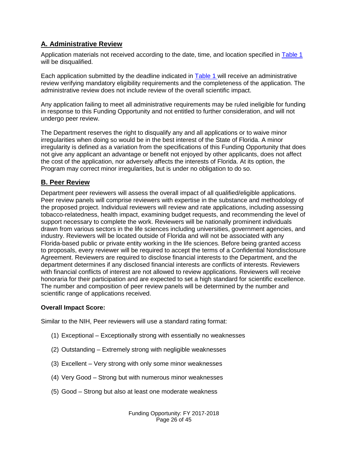### <span id="page-25-0"></span>**A. Administrative Review**

Application materials not received according to the date, time, and location specified in [Table 1](#page-12-2)  will be disqualified.

Each application submitted by the deadline indicated in [Table 1 w](#page-12-2)ill receive an administrative review verifying mandatory eligibility requirements and the completeness of the application. The administrative review does not include review of the overall scientific impact.

Any application failing to meet all administrative requirements may be ruled ineligible for funding in response to this Funding Opportunity and not entitled to further consideration, and will not undergo peer review.

The Department reserves the right to disqualify any and all applications or to waive minor irregularities when doing so would be in the best interest of the State of Florida. A minor irregularity is defined as a variation from the specifications of this Funding Opportunity that does not give any applicant an advantage or benefit not enjoyed by other applicants, does not affect the cost of the application, nor adversely affects the interests of Florida. At its option, the Program may correct minor irregularities, but is under no obligation to do so.

#### <span id="page-25-1"></span>**B. Peer Review**

Department peer reviewers will assess the overall impact of all qualified/eligible applications. Peer review panels will comprise reviewers with expertise in the substance and methodology of the proposed project. Individual reviewers will review and rate applications, including assessing tobacco-relatedness, health impact, examining budget requests, and recommending the level of support necessary to complete the work. Reviewers will be nationally prominent individuals drawn from various sectors in the life sciences including universities, government agencies, and industry. Reviewers will be located outside of Florida and will not be associated with any Florida-based public or private entity working in the life sciences. Before being granted access to proposals, every reviewer will be required to accept the terms of a Confidential Nondisclosure Agreement. Reviewers are required to disclose financial interests to the Department, and the department determines if any disclosed financial interests are conflicts of interests. Reviewers with financial conflicts of interest are not allowed to review applications. Reviewers will receive honoraria for their participation and are expected to set a high standard for scientific excellence. The number and composition of peer review panels will be determined by the number and scientific range of applications received.

#### **Overall Impact Score:**

Similar to the NIH, Peer reviewers will use a standard rating format:

- (1) Exceptional Exceptionally strong with essentially no weaknesses
- (2) Outstanding Extremely strong with negligible weaknesses
- (3) Excellent Very strong with only some minor weaknesses
- (4) Very Good Strong but with numerous minor weaknesses
- (5) Good Strong but also at least one moderate weakness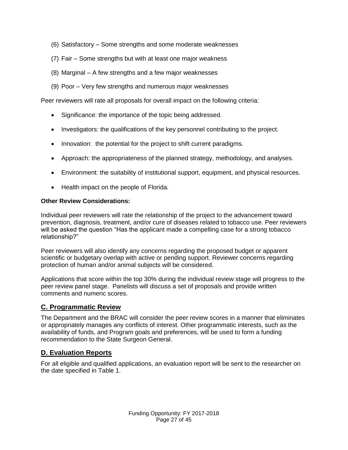- (6) Satisfactory Some strengths and some moderate weaknesses
- (7) Fair Some strengths but with at least one major weakness
- (8) Marginal A few strengths and a few major weaknesses
- (9) Poor Very few strengths and numerous major weaknesses

Peer reviewers will rate all proposals for overall impact on the following criteria:

- Significance: the importance of the topic being addressed.
- Investigators: the qualifications of the key personnel contributing to the project.
- Innovation: the potential for the project to shift current paradigms.
- Approach: the appropriateness of the planned strategy, methodology, and analyses.
- Environment: the suitability of institutional support, equipment, and physical resources.
- Health impact on the people of Florida.

#### **Other Review Considerations:**

Individual peer reviewers will rate the relationship of the project to the advancement toward prevention, diagnosis, treatment, and/or cure of diseases related to tobacco use. Peer reviewers will be asked the question "Has the applicant made a compelling case for a strong tobacco relationship?"

Peer reviewers will also identify any concerns regarding the proposed budget or apparent scientific or budgetary overlap with active or pending support. Reviewer concerns regarding protection of human and/or animal subjects will be considered.

Applications that score within the top 30% during the individual review stage will progress to the peer review panel stage. Panelists will discuss a set of proposals and provide written comments and numeric scores.

#### <span id="page-26-0"></span>**C. Programmatic Review**

The Department and the BRAC will consider the peer review scores in a manner that eliminates or appropriately manages any conflicts of interest. Other programmatic interests, such as the availability of funds, and Program goals and preferences, will be used to form a funding recommendation to the State Surgeon General.

#### <span id="page-26-1"></span>**D. Evaluation Reports**

For all eligible and qualified applications, an evaluation report will be sent to the researcher on the date specified in Table 1.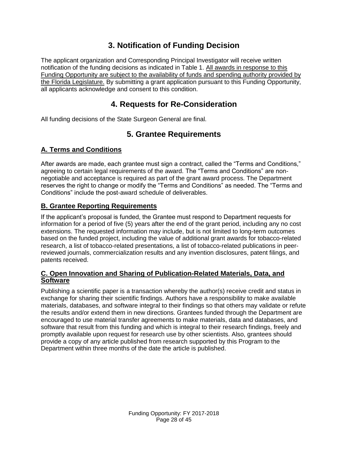## **3. Notification of Funding Decision**

<span id="page-27-0"></span>The applicant organization and Corresponding Principal Investigator will receive written notification of the funding decisions as indicated in Table 1. All awards in response to this Funding Opportunity are subject to the availability of funds and spending authority provided by the Florida Legislature. By submitting a grant application pursuant to this Funding Opportunity, all applicants acknowledge and consent to this condition.

### **4. Requests for Re-Consideration**

<span id="page-27-2"></span><span id="page-27-1"></span>All funding decisions of the State Surgeon General are final.

# **5. Grantee Requirements**

### <span id="page-27-3"></span>**A. Terms and Conditions**

After awards are made, each grantee must sign a contract, called the "Terms and Conditions," agreeing to certain legal requirements of the award. The "Terms and Conditions" are nonnegotiable and acceptance is required as part of the grant award process. The Department reserves the right to change or modify the "Terms and Conditions" as needed. The "Terms and Conditions" include the post-award schedule of deliverables.

### <span id="page-27-4"></span>**B. Grantee Reporting Requirements**

If the applicant's proposal is funded, the Grantee must respond to Department requests for information for a period of five (5) years after the end of the grant period, including any no cost extensions. The requested information may include, but is not limited to long-term outcomes based on the funded project, including the value of additional grant awards for tobacco-related research, a list of tobacco-related presentations, a list of tobacco-related publications in peerreviewed journals, commercialization results and any invention disclosures, patent filings, and patents received.

### <span id="page-27-5"></span>**C. Open Innovation and Sharing of Publication-Related Materials, Data, and Software**

Publishing a scientific paper is a transaction whereby the author(s) receive credit and status in exchange for sharing their scientific findings. Authors have a responsibility to make available materials, databases, and software integral to their findings so that others may validate or refute the results and/or extend them in new directions. Grantees funded through the Department are encouraged to use material transfer agreements to make materials, data and databases, and software that result from this funding and which is integral to their research findings, freely and promptly available upon request for research use by other scientists. Also, grantees should provide a copy of any article published from research supported by this Program to the Department within three months of the date the article is published.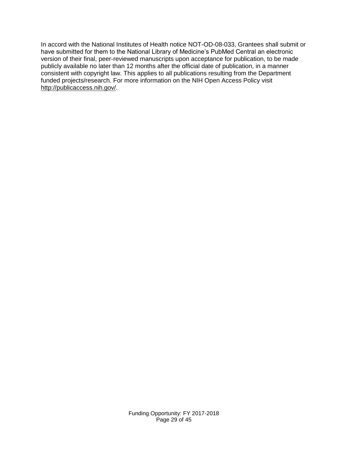In accord with the National Institutes of Health notice NOT-OD-08-033, Grantees shall submit or have submitted for them to the National Library of Medicine's PubMed Central an electronic version of their final, peer-reviewed manuscripts upon acceptance for publication, to be made publicly available no later than 12 months after the official date of publication, in a manner consistent with copyright law. This applies to all publications resulting from the Department funded projects/research. For more information on the NIH Open Access Policy visit [http://publicaccess.nih.gov/.](http://publicaccess.nih.gov/)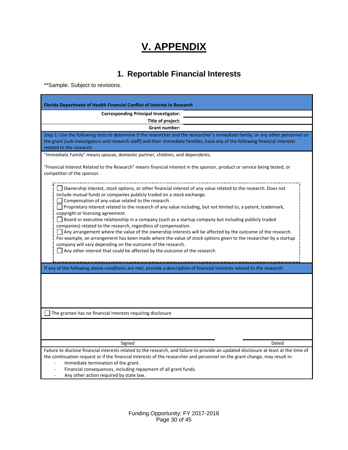# **V. APPENDIX**

# **1. Reportable Financial Interests**

<span id="page-29-1"></span><span id="page-29-0"></span>\*\*Sample. Subject to revisions.

| <b>Florida Department of Health Financial Conflict of Interest in Research</b>                                                                                                                                                                                                                                                                                                                                                                                                                                                                                                                                                                                                                                                                                                                                                                                                                                                                               |  |  |  |  |
|--------------------------------------------------------------------------------------------------------------------------------------------------------------------------------------------------------------------------------------------------------------------------------------------------------------------------------------------------------------------------------------------------------------------------------------------------------------------------------------------------------------------------------------------------------------------------------------------------------------------------------------------------------------------------------------------------------------------------------------------------------------------------------------------------------------------------------------------------------------------------------------------------------------------------------------------------------------|--|--|--|--|
| <b>Corresponding Principal Investigator:</b>                                                                                                                                                                                                                                                                                                                                                                                                                                                                                                                                                                                                                                                                                                                                                                                                                                                                                                                 |  |  |  |  |
| Title of project:                                                                                                                                                                                                                                                                                                                                                                                                                                                                                                                                                                                                                                                                                                                                                                                                                                                                                                                                            |  |  |  |  |
| <b>Grant number:</b>                                                                                                                                                                                                                                                                                                                                                                                                                                                                                                                                                                                                                                                                                                                                                                                                                                                                                                                                         |  |  |  |  |
| Step 1: Use the following tests to determine if the researcher and the researcher's immediate family, or any other personnel on<br>the grant (sub-investigators and research staff) and their immediate families, have any of the following financial interests<br>related to the research:                                                                                                                                                                                                                                                                                                                                                                                                                                                                                                                                                                                                                                                                  |  |  |  |  |
| "Immediate Family" means spouse, domestic partner, children, and dependents.                                                                                                                                                                                                                                                                                                                                                                                                                                                                                                                                                                                                                                                                                                                                                                                                                                                                                 |  |  |  |  |
| "Financial Interest Related to the Research" means financial interest in the sponsor, product or service being tested, or<br>competitor of the sponsor.                                                                                                                                                                                                                                                                                                                                                                                                                                                                                                                                                                                                                                                                                                                                                                                                      |  |  |  |  |
| Ownership interest, stock options, or other financial interest of any value related to the research. Does not<br>include mutual funds or companies publicly traded on a stock exchange.<br>Compensation of any value related to the research.<br>Proprietary interest related to the research of any value including, but not limited to, a patent, trademark,<br>copyright or licensing agreement.<br>Board or executive relationship in a company (such as a startup company but including publicly traded<br>companies) related to the research, regardless of compensation.<br>Any arrangement where the value of the ownership interests will be affected by the outcome of the research.<br>For example, an arrangement has been made where the value of stock options given to the researcher by a startup<br>company will vary depending on the outcome of the research.<br>Any other interest that could be affected by the outcome of the research |  |  |  |  |
| If any of the following above conditions are met, provide a description of financial interests related to the research:                                                                                                                                                                                                                                                                                                                                                                                                                                                                                                                                                                                                                                                                                                                                                                                                                                      |  |  |  |  |
| The grantee has no financial interests requiring disclosure                                                                                                                                                                                                                                                                                                                                                                                                                                                                                                                                                                                                                                                                                                                                                                                                                                                                                                  |  |  |  |  |
| Signed<br>Dated                                                                                                                                                                                                                                                                                                                                                                                                                                                                                                                                                                                                                                                                                                                                                                                                                                                                                                                                              |  |  |  |  |
| Failure to disclose financial interests related to the research, and failure to provide an updated disclosure at least at the time of<br>the continuation request or if the financial interests of the researcher and personnel on the grant change, may result in:<br>Immediate termination of the grant.<br>Financial consequences, including repayment of all grant funds.<br>Any other action required by state law.                                                                                                                                                                                                                                                                                                                                                                                                                                                                                                                                     |  |  |  |  |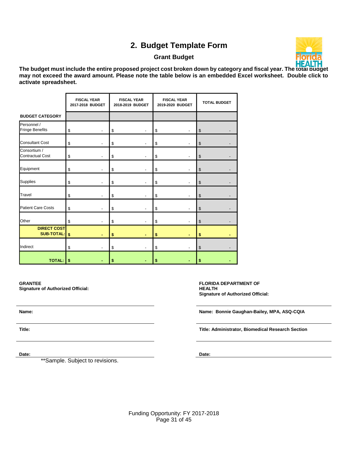# **2. Budget Template Form**

#### **Grant Budget**



<span id="page-30-0"></span>**The budget must include the entire proposed project cost broken down by category and fiscal year. The total budget may not exceed the award amount. Please note the table below is an embedded Excel worksheet. Double click to activate spreadsheet.** 

|                                         | <b>FISCAL YEAR</b><br>2017-2018 BUDGET |                          | <b>FISCAL YEAR</b><br>2018-2019 BUDGET |                          | <b>FISCAL YEAR</b><br>2019-2020 BUDGET |                          | <b>TOTAL BUDGET</b>     |  |
|-----------------------------------------|----------------------------------------|--------------------------|----------------------------------------|--------------------------|----------------------------------------|--------------------------|-------------------------|--|
| <b>BUDGET CATEGORY</b>                  |                                        |                          |                                        |                          |                                        |                          |                         |  |
| Personnel /<br>Fringe Benefits          | \$                                     | $\overline{a}$           | \$                                     |                          | \$                                     | $\overline{\phantom{a}}$ | \$                      |  |
| <b>Consultant Cost</b>                  | \$                                     | $\overline{a}$           | \$                                     |                          | \$                                     | $\overline{\phantom{a}}$ | \$                      |  |
| Consortium /<br><b>Contractual Cost</b> | \$                                     |                          | \$                                     |                          | \$                                     |                          | $\sqrt[6]{\frac{1}{2}}$ |  |
| Equipment                               | \$                                     |                          | \$                                     | $\overline{\phantom{a}}$ | \$                                     | $\overline{\phantom{a}}$ | $\sqrt[6]{\frac{1}{2}}$ |  |
| Supplies                                | \$                                     |                          | \$                                     |                          | \$                                     | $\overline{\phantom{a}}$ | $\sqrt[6]{\frac{1}{2}}$ |  |
| Travel                                  | \$                                     |                          | \$                                     |                          | \$                                     |                          | \$                      |  |
| <b>Patient Care Costs</b>               | \$                                     |                          | \$                                     |                          | \$                                     |                          | $\$\$                   |  |
| Other                                   | \$                                     |                          | \$                                     |                          | \$                                     |                          | $\sqrt[6]{\frac{1}{2}}$ |  |
| <b>DIRECT COST</b><br>SUB-TOTAL: \$     |                                        | $\overline{\phantom{a}}$ | \$                                     |                          | \$                                     | ۰                        | \$                      |  |
| Indirect                                | \$                                     |                          | \$                                     |                          | \$                                     |                          | $\,$                    |  |
| <b>TOTAL:</b>                           | \$                                     |                          | \$                                     |                          | \$                                     |                          | \$                      |  |

**GRANTEE Signature of Authorized Official:**

\*\*Sample. Subject to revisions.

**FLORIDA DEPARTMENT OF HEALTH Signature of Authorized Official:**

**Name: Name: Bonnie Gaughan-Bailey, MPA, ASQ-CQIA**

**Title: Title: Administrator, Biomedical Research Section** 

**Date: Date:**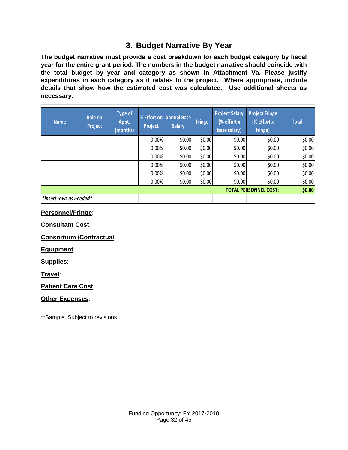# **3. Budget Narrative By Year**

<span id="page-31-0"></span>**The budget narrative must provide a cost breakdown for each budget category by fiscal year for the entire grant period. The numbers in the budget narrative should coincide with the total budget by year and category as shown in Attachment Va. Please justify expenditures in each category as it relates to the project. Where appropriate, include details that show how the estimated cost was calculated. Use additional sheets as necessary.** 

| <b>Name</b>             | Role on<br><b>Project</b> | <b>Type of</b><br>Appt.<br>(months) | Project | % Effort on Annual Base<br><b>Salary</b> | <b>Fringe</b> | <b>Project Salary</b><br>(% effort x<br>base salary) | <b>Project Fringe</b><br>(% effort x<br>fringe) | <b>Total</b> |
|-------------------------|---------------------------|-------------------------------------|---------|------------------------------------------|---------------|------------------------------------------------------|-------------------------------------------------|--------------|
|                         |                           |                                     | 0.00%   | \$0.00                                   | \$0.00        | \$0.00                                               | \$0.00                                          | \$0.00       |
|                         |                           |                                     | 0.00%   | \$0.00                                   | \$0.00        | \$0.00                                               | \$0.00                                          | \$0.00       |
|                         |                           |                                     | 0.00%   | \$0.00                                   | \$0.00        | \$0.00                                               | \$0.00                                          | \$0.00       |
|                         |                           |                                     | 0.00%   | \$0.00                                   | \$0.00        | \$0.00                                               | \$0.00                                          | \$0.00       |
|                         |                           |                                     | 0.00%   | \$0.00                                   | \$0.00        | \$0.00                                               | \$0.00                                          | \$0.00       |
|                         |                           |                                     | 0.00%   | \$0.00                                   | \$0.00        | \$0.00                                               | \$0.00                                          | \$0.00       |
|                         |                           |                                     |         |                                          |               |                                                      | <b>TOTAL PERSONNEL COST:</b>                    | \$0.00       |
| *Insert rows as needed* |                           |                                     |         |                                          |               |                                                      |                                                 |              |

**Personnel/Fringe**:

**Consultant Cost**:

**Consortium /Contractual**:

**Equipment**:

**Supplies**:

**Travel**:

**Patient Care Cost**:

#### **Other Expenses**:

\*\*Sample. Subject to revisions.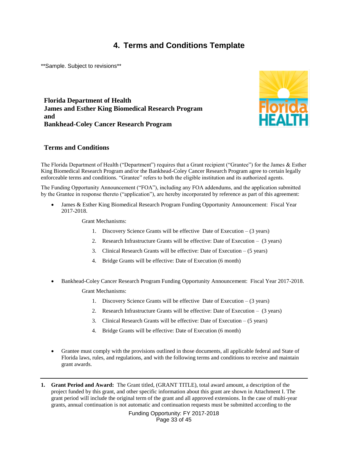### **4. Terms and Conditions Template**

<span id="page-32-0"></span>\*\*Sample. Subject to revisions\*\*

**Florida Department of Health James and Esther King Biomedical Research Program and Bankhead-Coley Cancer Research Program**



#### **Terms and Conditions**

The Florida Department of Health ("Department") requires that a Grant recipient ("Grantee") for the James & Esther King Biomedical Research Program and/or the Bankhead-Coley Cancer Research Program agree to certain legally enforceable terms and conditions. "Grantee" refers to both the eligible institution and its authorized agents.

The Funding Opportunity Announcement ("FOA"), including any FOA addendums, and the application submitted by the Grantee in response thereto ("application"), are hereby incorporated by reference as part of this agreement:

 James & Esther King Biomedical Research Program Funding Opportunity Announcement: Fiscal Year 2017-2018.

Grant Mechanisms:

- 1. Discovery Science Grants will be effective Date of Execution (3 years)
- 2. Research Infrastructure Grants will be effective: Date of Execution (3 years)
- 3. Clinical Research Grants will be effective: Date of Execution (5 years)
- 4. Bridge Grants will be effective: Date of Execution (6 month)
- Bankhead-Coley Cancer Research Program Funding Opportunity Announcement: Fiscal Year 2017-2018. Grant Mechanisms:
	- 1. Discovery Science Grants will be effective Date of Execution (3 years)
	- 2. Research Infrastructure Grants will be effective: Date of Execution (3 years)
	- 3. Clinical Research Grants will be effective: Date of Execution (5 years)
	- 4. Bridge Grants will be effective: Date of Execution (6 month)
- Grantee must comply with the provisions outlined in those documents, all applicable federal and State of Florida laws, rules, and regulations, and with the following terms and conditions to receive and maintain grant awards.
- **1. Grant Period and Award:** The Grant titled, (GRANT TITLE), total award amount, a description of the project funded by this grant, and other specific information about this grant are shown in Attachment I. The grant period will include the original term of the grant and all approved extensions. In the case of multi-year grants, annual continuation is not automatic and continuation requests must be submitted according to the

Funding Opportunity: FY 2017-2018 Page 33 of 45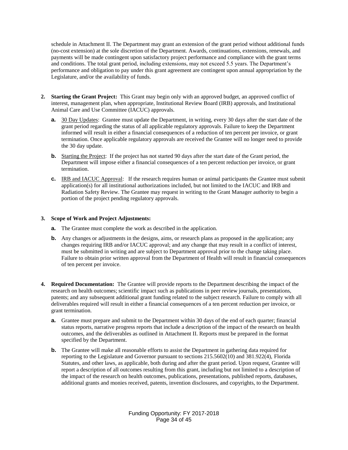schedule in Attachment II. The Department may grant an extension of the grant period without additional funds (no-cost extension) at the sole discretion of the Department. Awards, continuations, extensions, renewals, and payments will be made contingent upon satisfactory project performance and compliance with the grant terms and conditions. The total grant period, including extensions, may not exceed 5.5 years. The Department's performance and obligation to pay under this grant agreement are contingent upon annual appropriation by the Legislature, and/or the availability of funds.

- **2. Starting the Grant Project:** This Grant may begin only with an approved budget, an approved conflict of interest, management plan, when appropriate, Institutional Review Board (IRB) approvals, and Institutional Animal Care and Use Committee (IACUC) approvals.
	- **a.** 30 Day Updates: Grantee must update the Department, in writing, every 30 days after the start date of the grant period regarding the status of all applicable regulatory approvals. Failure to keep the Department informed will result in either a financial consequences of a reduction of ten percent per invoice, or grant termination. Once applicable regulatory approvals are received the Grantee will no longer need to provide the 30 day update.
	- **b.** Starting the Project: If the project has not started 90 days after the start date of the Grant period, the Department will impose either a financial consequences of a ten percent reduction per invoice, or grant termination.
	- **c.** IRB and IACUC Approval: If the research requires human or animal participants the Grantee must submit application(s) for all institutional authorizations included, but not limited to the IACUC and IRB and Radiation Safety Review. The Grantee may request in writing to the Grant Manager authority to begin a portion of the project pending regulatory approvals.

#### **3. Scope of Work and Project Adjustments:**

- **a.** The Grantee must complete the work as described in the application.
- **b.** Any changes or adjustments in the designs, aims, or research plans as proposed in the application; any changes requiring IRB and/or IACUC approval; and any change that may result in a conflict of interest, must be submitted in writing and are subject to Department approval prior to the change taking place. Failure to obtain prior written approval from the Department of Health will result in financial consequences of ten percent per invoice.
- **4. Required Documentation:** The Grantee will provide reports to the Department describing the impact of the research on health outcomes; scientific impact such as publications in peer review journals, presentations, patents; and any subsequent additional grant funding related to the subject research. Failure to comply with all deliverables required will result in either a financial consequences of a ten percent reduction per invoice, or grant termination.
	- **a.** Grantee must prepare and submit to the Department within 30 days of the end of each quarter; financial status reports, narrative progress reports that include a description of the impact of the research on health outcomes, and the deliverables as outlined in Attachment II. Reports must be prepared in the format specified by the Department.
	- **b.** The Grantee will make all reasonable efforts to assist the Department in gathering data required for reporting to the Legislature and Governor pursuant to sections 215.5602(10) and 381.922(4), Florida Statutes, and other laws, as applicable, both during and after the grant period. Upon request, Grantee will report a description of all outcomes resulting from this grant, including but not limited to a description of the impact of the research on health outcomes, publications, presentations, published reports, databases, additional grants and monies received, patents, invention disclosures, and copyrights, to the Department.

Funding Opportunity: FY 2017-2018 Page 34 of 45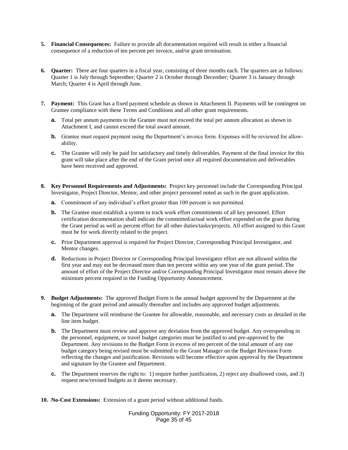- **5. Financial Consequences:** Failure to provide all documentation required will result in either a financial consequence of a reduction of ten percent per invoice, and/or grant termination.
- **6. Quarter:** There are four quarters in a fiscal year, consisting of three months each. The quarters are as follows: Quarter 1 is July through September; Quarter 2 is October through December; Quarter 3 is January through March; Quarter 4 is April through June.
- **7. Payment:** This Grant has a fixed payment schedule as shown in Attachment II. Payments will be contingent on Grantee compliance with these Terms and Conditions and all other grant requirements.
	- **a.** Total per annum payments to the Grantee must not exceed the total per annum allocation as shown in Attachment I, and cannot exceed the total award amount.
	- **b.** Grantee must request payment using the Department's invoice form. Expenses will be reviewed for allowability.
	- **c.** The Grantee will only be paid for satisfactory and timely deliverables. Payment of the final invoice for this grant will take place after the end of the Grant period once all required documentation and deliverables have been received and approved.
- **8. Key Personnel Requirements and Adjustments:** Project key personnel include the Corresponding Principal Investigator, Project Director, Mentor, and other project personnel noted as such in the grant application.
	- **a.** Commitment of any individual's effort greater than 100 percent is not permitted.
	- **b.** The Grantee must establish a system to track work effort commitments of all key personnel. Effort certification documentation shall indicate the committed/actual work effort expended on the grant during the Grant period as well as percent effort for all other duties/tasks/projects. All effort assigned to this Grant must be for work directly related to the project.
	- **c.** Prior Department approval is required for Project Director, Corresponding Principal Investigator, and Mentor changes.
	- **d.** Reductions in Project Director or Corresponding Principal Investigator effort are not allowed within the first year and may not be decreased more than ten percent within any one year of the grant period. The amount of effort of the Project Director and/or Corresponding Principal Investigator must remain above the minimum percent required in the Funding Opportunity Announcement.
- **9. Budget Adjustments:** The approved Budget Form is the annual budget approved by the Department at the beginning of the grant period and annually thereafter and includes any approved budget adjustments.
	- **a.** The Department will reimburse the Grantee for allowable, reasonable, and necessary costs as detailed in the line item budget.
	- **b.** The Department must review and approve any deviation from the approved budget. Any overspending in the personnel, equipment, or travel budget categories must be justified to and pre-approved by the Department. Any revisions to the Budget Form in excess of ten percent of the total amount of any one budget category being revised must be submitted to the Grant Manager on the Budget Revision Form reflecting the changes and justification. Revisions will become effective upon approval by the Department and signature by the Grantee and Department.
	- **c.** The Department reserves the right to: 1) require further justification, 2) reject any disallowed costs, and 3) request new/revised budgets as it deems necessary.
- **10. No-Cost Extensions:** Extension of a grant period without additional funds.

Funding Opportunity: FY 2017-2018 Page 35 of 45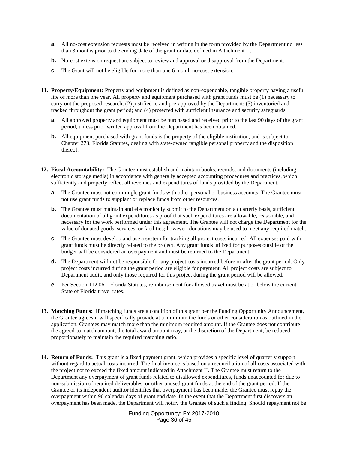- **a.** All no-cost extension requests must be received in writing in the form provided by the Department no less than 3 months prior to the ending date of the grant or date defined in Attachment II.
- **b.** No-cost extension request are subject to review and approval or disapproval from the Department.
- **c.** The Grant will not be eligible for more than one 6 month no-cost extension.
- **11. Property/Equipment:** Property and equipment is defined as non-expendable, tangible property having a useful life of more than one year. All property and equipment purchased with grant funds must be (1) necessary to carry out the proposed research; (2) justified to and pre-approved by the Department; (3) inventoried and tracked throughout the grant period; and (4) protected with sufficient insurance and security safeguards.
	- **a.** All approved property and equipment must be purchased and received prior to the last 90 days of the grant period, unless prior written approval from the Department has been obtained.
	- **b.** All equipment purchased with grant funds is the property of the eligible institution, and is subject to Chapter 273, Florida Statutes, dealing with state-owned tangible personal property and the disposition thereof.
- **12. Fiscal Accountability:** The Grantee must establish and maintain books, records, and documents (including electronic storage media) in accordance with generally accepted accounting procedures and practices, which sufficiently and properly reflect all revenues and expenditures of funds provided by the Department.
	- **a.** The Grantee must not commingle grant funds with other personal or business accounts. The Grantee must not use grant funds to supplant or replace funds from other resources.
	- **b.** The Grantee must maintain and electronically submit to the Department on a quarterly basis, sufficient documentation of all grant expenditures as proof that such expenditures are allowable, reasonable, and necessary for the work performed under this agreement. The Grantee will not charge the Department for the value of donated goods, services, or facilities; however, donations may be used to meet any required match.
	- **c.** The Grantee must develop and use a system for tracking all project costs incurred. All expenses paid with grant funds must be directly related to the project. Any grant funds utilized for purposes outside of the budget will be considered an overpayment and must be returned to the Department.
	- **d.** The Department will not be responsible for any project costs incurred before or after the grant period. Only project costs incurred during the grant period are eligible for payment. All project costs are subject to Department audit, and only those required for this project during the grant period will be allowed.
	- **e.** Per Section 112.061, Florida Statutes, reimbursement for allowed travel must be at or below the current State of Florida travel rates.
- **13. Matching Funds:** If matching funds are a condition of this grant per the Funding Opportunity Announcement, the Grantee agrees it will specifically provide at a minimum the funds or other consideration as outlined in the application. Grantees may match more than the minimum required amount. If the Grantee does not contribute the agreed-to match amount, the total award amount may, at the discretion of the Department, be reduced proportionately to maintain the required matching ratio.
- **14. Return of Funds:** This grant is a fixed payment grant, which provides a specific level of quarterly support without regard to actual costs incurred. The final invoice is based on a reconciliation of all costs associated with the project not to exceed the fixed amount indicated in Attachment II. The Grantee must return to the Department any overpayment of grant funds related to disallowed expenditures, funds unaccounted for due to non-submission of required deliverables, or other unused grant funds at the end of the grant period. If the Grantee or its independent auditor identifies that overpayment has been made; the Grantee must repay the overpayment within 90 calendar days of grant end date. In the event that the Department first discovers an overpayment has been made, the Department will notify the Grantee of such a finding. Should repayment not be

Funding Opportunity: FY 2017-2018 Page 36 of 45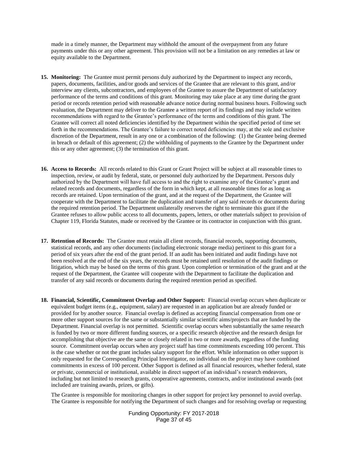made in a timely manner, the Department may withhold the amount of the overpayment from any future payments under this or any other agreement. This provision will not be a limitation on any remedies at law or equity available to the Department.

- **15. Monitoring:** The Grantee must permit persons duly authorized by the Department to inspect any records, papers, documents, facilities, and/or goods and services of the Grantee that are relevant to this grant, and/or interview any clients, subcontractors, and employees of the Grantee to assure the Department of satisfactory performance of the terms and conditions of this grant. Monitoring may take place at any time during the grant period or records retention period with reasonable advance notice during normal business hours. Following such evaluation, the Department may deliver to the Grantee a written report of its findings and may include written recommendations with regard to the Grantee's performance of the terms and conditions of this grant. The Grantee will correct all noted deficiencies identified by the Department within the specified period of time set forth in the recommendations. The Grantee's failure to correct noted deficiencies may, at the sole and exclusive discretion of the Department, result in any one or a combination of the following: (1) the Grantee being deemed in breach or default of this agreement; (2) the withholding of payments to the Grantee by the Department under this or any other agreement; (3) the termination of this grant.
- **16. Access to Records:** All records related to this Grant or Grant Project will be subject at all reasonable times to inspection, review, or audit by federal, state, or personnel duly authorized by the Department. Persons duly authorized by the Department will have full access to and the right to examine any of the Grantee's grant and related records and documents, regardless of the form in which kept, at all reasonable times for as long as records are retained. Upon termination of the grant, and at the request of the Department, the Grantee will cooperate with the Department to facilitate the duplication and transfer of any said records or documents during the required retention period. The Department unilaterally reserves the right to terminate this grant if the Grantee refuses to allow public access to all documents, papers, letters, or other materials subject to provision of Chapter 119, Florida Statutes, made or received by the Grantee or its contractor in conjunction with this grant.
- **17. Retention of Records:** The Grantee must retain all client records, financial records, supporting documents, statistical records, and any other documents (including electronic storage media) pertinent to this grant for a period of six years after the end of the grant period. If an audit has been initiated and audit findings have not been resolved at the end of the six years, the records must be retained until resolution of the audit findings or litigation, which may be based on the terms of this grant. Upon completion or termination of the grant and at the request of the Department, the Grantee will cooperate with the Department to facilitate the duplication and transfer of any said records or documents during the required retention period as specified.
- **18. Financial, Scientific, Commitment Overlap and Other Support:** Financial overlap occurs when duplicate or equivalent budget items (e.g., equipment, salary) are requested in an application but are already funded or provided for by another source. Financial overlap is defined as accepting financial compensation from one or more other support sources for the same or substantially similar scientific aims/projects that are funded by the Department. Financial overlap is not permitted. Scientific overlap occurs when substantially the same research is funded by two or more different funding sources, or a specific research objective and the research design for accomplishing that objective are the same or closely related in two or more awards, regardless of the funding source. Commitment overlap occurs when any project staff has time commitments exceeding 100 percent. This is the case whether or not the grant includes salary support for the effort. While information on other support is only requested for the Corresponding Principal Investigator, no individual on the project may have combined commitments in excess of 100 percent. Other Support is defined as all financial resources, whether federal, state or private, commercial or institutional, available in direct support of an individual's research endeavors, including but not limited to research grants, cooperative agreements, contracts, and/or institutional awards (not included are training awards, prizes, or gifts).

The Grantee is responsible for monitoring changes in other support for project key personnel to avoid overlap. The Grantee is responsible for notifying the Department of such changes and for resolving overlap or requesting

> Funding Opportunity: FY 2017-2018 Page 37 of 45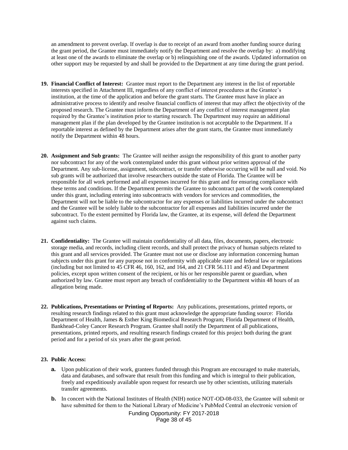an amendment to prevent overlap. If overlap is due to receipt of an award from another funding source during the grant period, the Grantee must immediately notify the Department and resolve the overlap by: a) modifying at least one of the awards to eliminate the overlap or b) relinquishing one of the awards. Updated information on other support may be requested by and shall be provided to the Department at any time during the grant period.

- **19. Financial Conflict of Interest:** Grantee must report to the Department any interest in the list of reportable interests specified in Attachment III, regardless of any conflict of interest procedures at the Grantee's institution, at the time of the application and before the grant starts. The Grantee must have in place an administrative process to identify and resolve financial conflicts of interest that may affect the objectivity of the proposed research. The Grantee must inform the Department of any conflict of interest management plan required by the Grantee's institution prior to starting research. The Department may require an additional management plan if the plan developed by the Grantee institution is not acceptable to the Department. If a reportable interest as defined by the Department arises after the grant starts, the Grantee must immediately notify the Department within 48 hours.
- **20. Assignment and Sub grants:** The Grantee will neither assign the responsibility of this grant to another party nor subcontract for any of the work contemplated under this grant without prior written approval of the Department. Any sub-license, assignment, subcontract, or transfer otherwise occurring will be null and void. No sub grants will be authorized that involve researchers outside the state of Florida. The Grantee will be responsible for all work performed and all expenses incurred for this grant and for ensuring compliance with these terms and conditions. If the Department permits the Grantee to subcontract part of the work contemplated under this grant, including entering into subcontracts with vendors for services and commodities, the Department will not be liable to the subcontractor for any expenses or liabilities incurred under the subcontract and the Grantee will be solely liable to the subcontractor for all expenses and liabilities incurred under the subcontract. To the extent permitted by Florida law, the Grantee, at its expense, will defend the Department against such claims.
- **21. Confidentiality:** The Grantee will maintain confidentiality of all data, files, documents, papers, electronic storage media, and records, including client records, and shall protect the privacy of human subjects related to this grant and all services provided. The Grantee must not use or disclose any information concerning human subjects under this grant for any purpose not in conformity with applicable state and federal law or regulations (including but not limited to  $45$  CFR  $46$ ,  $160$ ,  $162$ , and  $164$ , and  $21$  CFR  $56.111$  and  $45$ ) and Department policies, except upon written consent of the recipient, or his or her responsible parent or guardian, when authorized by law. Grantee must report any breach of confidentiality to the Department within 48 hours of an allegation being made.
- **22. Publications, Presentations or Printing of Reports:** Any publications, presentations, printed reports, or resulting research findings related to this grant must acknowledge the appropriate funding source: Florida Department of Health, James & Esther King Biomedical Research Program; Florida Department of Health, Bankhead-Coley Cancer Research Program. Grantee shall notify the Department of all publications, presentations, printed reports, and resulting research findings created for this project both during the grant period and for a period of six years after the grant period.

#### **23. Public Access:**

- **a.** Upon publication of their work, grantees funded through this Program are encouraged to make materials, data and databases, and software that result from this funding and which is integral to their publication, freely and expeditiously available upon request for research use by other scientists, utilizing materials transfer agreements.
- **b.** In concert with the National Institutes of Health (NIH) notice NOT-OD-08-033, the Grantee will submit or have submitted for them to the National Library of Medicine's PubMed Central an electronic version of

Funding Opportunity: FY 2017-2018 Page 38 of 45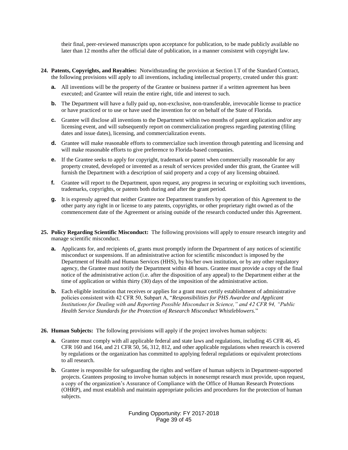their final, peer-reviewed manuscripts upon acceptance for publication, to be made publicly available no later than 12 months after the official date of publication, in a manner consistent with copyright law.

- **24. Patents, Copyrights, and Royalties:** Notwithstanding the provision at Section I.T of the Standard Contract, the following provisions will apply to all inventions, including intellectual property, created under this grant:
	- **a.** All inventions will be the property of the Grantee or business partner if a written agreement has been executed; and Grantee will retain the entire right, title and interest to such.
	- **b.** The Department will have a fully paid up, non-exclusive, non-transferable, irrevocable license to practice or have practiced or to use or have used the invention for or on behalf of the State of Florida.
	- **c.** Grantee will disclose all inventions to the Department within two months of patent application and/or any licensing event, and will subsequently report on commercialization progress regarding patenting (filing dates and issue dates), licensing, and commercialization events.
	- **d.** Grantee will make reasonable efforts to commercialize such invention through patenting and licensing and will make reasonable efforts to give preference to Florida-based companies.
	- **e.** If the Grantee seeks to apply for copyright, trademark or patent when commercially reasonable for any property created, developed or invented as a result of services provided under this grant, the Grantee will furnish the Department with a description of said property and a copy of any licensing obtained.
	- **f.** Grantee will report to the Department, upon request, any progress in securing or exploiting such inventions, trademarks, copyrights, or patents both during and after the grant period.
	- **g.** It is expressly agreed that neither Grantee nor Department transfers by operation of this Agreement to the other party any right in or license to any patents, copyrights, or other proprietary right owned as of the commencement date of the Agreement or arising outside of the research conducted under this Agreement.
- **25. Policy Regarding Scientific Misconduct:** The following provisions will apply to ensure research integrity and manage scientific misconduct.
	- **a.** Applicants for, and recipients of, grants must promptly inform the Department of any notices of scientific misconduct or suspensions. If an administrative action for scientific misconduct is imposed by the Department of Health and Human Services (HHS), by his/her own institution, or by any other regulatory agency, the Grantee must notify the Department within 48 hours. Grantee must provide a copy of the final notice of the administrative action (i.e. after the disposition of any appeal) to the Department either at the time of application or within thirty (30) days of the imposition of the administrative action.
	- **b.** Each eligible institution that receives or applies for a grant must certify establishment of administrative policies consistent with 42 CFR 50, Subpart A, "*Responsibilities for PHS Awardee and Applicant Institutions for Dealing with and Reporting Possible Misconduct in Science," and 42 CFR 94, "Public Health Service Standards for the Protection of Research Misconduct Whistleblowers.*"
- **26. Human Subjects:** The following provisions will apply if the project involves human subjects:
	- **a.** Grantee must comply with all applicable federal and state laws and regulations, including 45 CFR 46, 45 CFR 160 and 164, and 21 CFR 50, 56, 312, 812, and other applicable regulations when research is covered by regulations or the organization has committed to applying federal regulations or equivalent protections to all research.
	- **b.** Grantee is responsible for safeguarding the rights and welfare of human subjects in Department-supported projects. Grantees proposing to involve human subjects in nonexempt research must provide, upon request, a copy of the organization's Assurance of Compliance with the Office of Human Research Protections (OHRP), and must establish and maintain appropriate policies and procedures for the protection of human subjects.

Funding Opportunity: FY 2017-2018 Page 39 of 45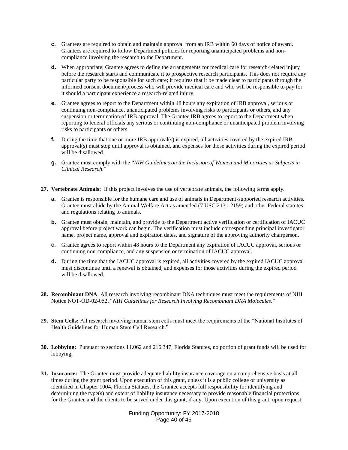- **c.** Grantees are required to obtain and maintain approval from an IRB within 60 days of notice of award. Grantees are required to follow Department policies for reporting unanticipated problems and noncompliance involving the research to the Department.
- **d.** When appropriate, Grantee agrees to define the arrangements for medical care for research-related injury before the research starts and communicate it to prospective research participants. This does not require any particular party to be responsible for such care; it requires that it be made clear to participants through the informed consent document/process who will provide medical care and who will be responsible to pay for it should a participant experience a research-related injury.
- **e.** Grantee agrees to report to the Department within 48 hours any expiration of IRB approval, serious or continuing non-compliance, unanticipated problems involving risks to participants or others, and any suspension or termination of IRB approval. The Grantee IRB agrees to report to the Department when reporting to federal officials any serious or continuing non-compliance or unanticipated problem involving risks to participants or others.
- **f.** During the time that one or more IRB approval(s) is expired, all activities covered by the expired IRB approval(s) must stop until approval is obtained, and expenses for those activities during the expired period will be disallowed.
- **g.** Grantee must comply with the "*NIH Guidelines on the Inclusion of Women and Minorities as Subjects in Clinical Research*."
- **27. Vertebrate Animals:** If this project involves the use of vertebrate animals, the following terms apply.
	- **a.** Grantee is responsible for the humane care and use of animals in Department-supported research activities. Grantee must abide by the Animal Welfare Act as amended (7 USC 2131-2159) and other Federal statutes and regulations relating to animals.
	- **b.** Grantee must obtain, maintain, and provide to the Department active verification or certification of IACUC approval before project work can begin. The verification must include corresponding principal investigator name, project name, approval and expiration dates, and signature of the approving authority chairperson.
	- **c.** Grantee agrees to report within 48 hours to the Department any expiration of IACUC approval, serious or continuing non-compliance, and any suspension or termination of IACUC approval.
	- **d.** During the time that the IACUC approval is expired, all activities covered by the expired IACUC approval must discontinue until a renewal is obtained, and expenses for those activities during the expired period will be disallowed.
- **28. Recombinant DNA**: All research involving recombinant DNA techniques must meet the requirements of NIH Notice NOT-OD-02-052, "*NIH Guidelines for Research Involving Recombinant DNA Molecules.*"
- **29. Stem Cells:** All research involving human stem cells must meet the requirements of the "National Institutes of Health Guidelines for Human Stem Cell Research."
- **30. Lobbying:** Pursuant to sections 11.062 and 216.347, Florida Statutes, no portion of grant funds will be used for lobbying.
- **31. Insurance:** The Grantee must provide adequate liability insurance coverage on a comprehensive basis at all times during the grant period. Upon execution of this grant, unless it is a public college or university as identified in Chapter 1004, Florida Statutes, the Grantee accepts full responsibility for identifying and determining the type(s) and extent of liability insurance necessary to provide reasonable financial protections for the Grantee and the clients to be served under this grant, if any. Upon execution of this grant, upon request

Funding Opportunity: FY 2017-2018 Page 40 of 45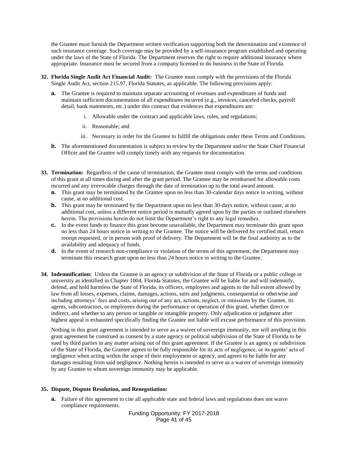the Grantee must furnish the Department written verification supporting both the determination and existence of such insurance coverage. Such coverage may be provided by a self-insurance program established and operating under the laws of the State of Florida. The Department reserves the right to require additional insurance where appropriate. Insurance must be secured from a company licensed to do business in the State of Florida.

- **32. Florida Single Audit Act Financial Audit:** The Grantee must comply with the provisions of the Florida Single Audit Act, section 215.97, Florida Statutes, as applicable. The following provisions apply:
	- **a.** The Grantee is required to maintain separate accounting of revenues and expenditures of funds and maintain sufficient documentation of all expenditures incurred (e.g., invoices, canceled checks, payroll detail, bank statements, etc.) under this contract that evidences that expenditures are:
		- i. Allowable under the contract and applicable laws, rules, and regulations;
		- ii. Reasonable; and
		- iii. Necessary in order for the Grantee to fulfill the obligations under these Terms and Conditions.
	- **b.** The aforementioned documentation is subject to review by the Department and/or the State Chief Financial Officer and the Grantee will comply timely with any requests for documentation.
- **33. Termination:** Regardless of the cause of termination, the Grantee must comply with the terms and conditions of this grant at all times during and after the grant period. The Grantee may be reimbursed for allowable costs incurred and any irrevocable charges through the date of termination up to the total award amount.
	- **a.** This grant may be terminated by the Grantee upon no less than 30-calendar days notice in writing, without cause, at no additional cost.
	- **b.** This grant may be terminated by the Department upon no less than 30-days notice, without cause, at no additional cost, unless a different notice period is mutually agreed upon by the parties or outlined elsewhere herein. The provisions herein do not limit the Department's right to any legal remedies.
	- **c.** In the event funds to finance this grant become unavailable, the Department may terminate this grant upon no less than 24 hours notice in writing to the Grantee. The notice will be delivered by certified mail, return receipt requested, or in person with proof of delivery. The Department will be the final authority as to the availability and adequacy of funds.
	- **d.** In the event of research non-compliance or violation of the terms of this agreement, the Department may terminate this research grant upon no less than 24 hours notice in writing to the Grantee.
- **34. Indemnification:** Unless the Grantee is an agency or subdivision of the State of Florida or a public college or university as identified in Chapter 1004, Florida Statutes, the Grantee will be liable for and will indemnify, defend, and hold harmless the State of Florida, its officers, employees and agents to the full extent allowed by law from all losses, expenses, claims, damages, actions, suits and judgments, consequential or otherwise and including attorneys' fees and costs, arising out of any act, actions, neglect, or omissions by the Grantee, its agents, subcontractors, or employees during the performance or operation of this grant, whether direct or indirect, and whether to any person or tangible or intangible property. Only adjudication or judgment after highest appeal is exhausted specifically finding the Grantee not liable will excuse performance of this provision.

Nothing in this grant agreement is intended to serve as a waiver of sovereign immunity, nor will anything in this grant agreement be construed as consent by a state agency or political subdivision of the State of Florida to be sued by third parties in any matter arising out of this grant agreement. If the Grantee is an agency or subdivision of the State of Florida, the Grantee agrees to be fully responsible for its acts of negligence, or its agents' acts of negligence when acting within the scope of their employment or agency, and agrees to be liable for any damages resulting from said negligence. Nothing herein is intended to serve as a waiver of sovereign immunity by any Grantee to whom sovereign immunity may be applicable.

#### **35. Dispute, Dispute Resolution, and Renegotiation:**

**a.** Failure of this agreement to cite all applicable state and federal laws and regulations does not waive compliance requirements.

> Funding Opportunity: FY 2017-2018 Page 41 of 45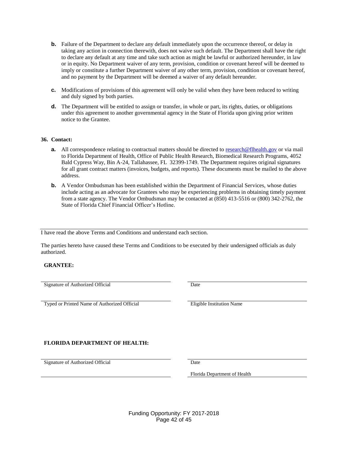- **b.** Failure of the Department to declare any default immediately upon the occurrence thereof, or delay in taking any action in connection therewith, does not waive such default. The Department shall have the right to declare any default at any time and take such action as might be lawful or authorized hereunder, in law or in equity. No Department waiver of any term, provision, condition or covenant hereof will be deemed to imply or constitute a further Department waiver of any other term, provision, condition or covenant hereof, and no payment by the Department will be deemed a waiver of any default hereunder.
- **c.** Modifications of provisions of this agreement will only be valid when they have been reduced to writing and duly signed by both parties.
- **d.** The Department will be entitled to assign or transfer, in whole or part, its rights, duties, or obligations under this agreement to another governmental agency in the State of Florida upon giving prior written notice to the Grantee.

#### **36. Contact:**

- **a.** All correspondence relating to contractual matters should be directed to [research@flhealth.gov](mailto:research@flhealth.gov) or via mail to Florida Department of Health, Office of Public Health Research, Biomedical Research Programs, 4052 Bald Cypress Way, Bin A-24, Tallahassee, FL 32399-1749. The Department requires original signatures for all grant contract matters (invoices, budgets, and reports). These documents must be mailed to the above address.
- **b.** A Vendor Ombudsman has been established within the Department of Financial Services, whose duties include acting as an advocate for Grantees who may be experiencing problems in obtaining timely payment from a state agency. The Vendor Ombudsman may be contacted at (850) 413-5516 or (800) 342-2762, the State of Florida Chief Financial Officer's Hotline.

I have read the above Terms and Conditions and understand each section.

The parties hereto have caused these Terms and Conditions to be executed by their undersigned officials as duly authorized.

#### **GRANTEE:**

Signature of Authorized Official Date

Typed or Printed Name of Authorized Official Eligible Institution Name

#### **FLORIDA DEPARTMENT OF HEALTH:**

Signature of Authorized Official Date

Florida Department of Health

Funding Opportunity: FY 2017-2018 Page 42 of 45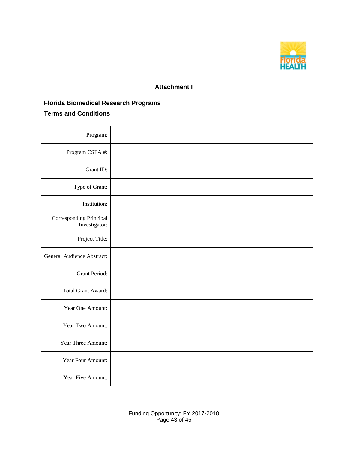

### **Attachment I**

### **Florida Biomedical Research Programs**

### **Terms and Conditions**

| Program:                                 |  |
|------------------------------------------|--|
| Program CSFA #:                          |  |
| Grant ID:                                |  |
| Type of Grant:                           |  |
| Institution:                             |  |
| Corresponding Principal<br>Investigator: |  |
| Project Title:                           |  |
| General Audience Abstract:               |  |
| <b>Grant Period:</b>                     |  |
| Total Grant Award:                       |  |
| Year One Amount:                         |  |
| Year Two Amount:                         |  |
| Year Three Amount:                       |  |
| Year Four Amount:                        |  |
| Year Five Amount:                        |  |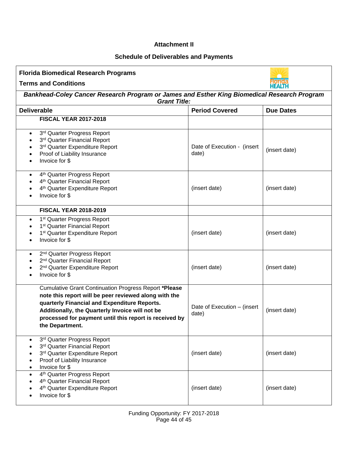#### **Attachment II**

### **Schedule of Deliverables and Payments**

| <b>Florida Biomedical Research Programs</b>                                                                                                                                                                                                                                                           |                                      |                  |  |
|-------------------------------------------------------------------------------------------------------------------------------------------------------------------------------------------------------------------------------------------------------------------------------------------------------|--------------------------------------|------------------|--|
| <b>Terms and Conditions</b>                                                                                                                                                                                                                                                                           |                                      |                  |  |
| Bankhead-Coley Cancer Research Program or James and Esther King Biomedical Research Program<br><b>Grant Title:</b>                                                                                                                                                                                    |                                      |                  |  |
| <b>Deliverable</b>                                                                                                                                                                                                                                                                                    | <b>Period Covered</b>                | <b>Due Dates</b> |  |
| <b>FISCAL YEAR 2017-2018</b>                                                                                                                                                                                                                                                                          |                                      |                  |  |
| 3rd Quarter Progress Report<br>$\bullet$<br>3rd Quarter Financial Report<br>3rd Quarter Expenditure Report<br>Proof of Liability Insurance<br>Invoice for \$                                                                                                                                          | Date of Execution - (insert<br>date) | (insert date)    |  |
| 4 <sup>th</sup> Quarter Progress Report<br>$\bullet$<br>4 <sup>th</sup> Quarter Financial Report<br>4 <sup>th</sup> Quarter Expenditure Report<br>Invoice for \$                                                                                                                                      | (insert date)                        | (insert date)    |  |
| <b>FISCAL YEAR 2018-2019</b>                                                                                                                                                                                                                                                                          |                                      |                  |  |
| 1 <sup>st</sup> Quarter Progress Report<br>$\bullet$<br>1 <sup>st</sup> Quarter Financial Report<br>1 <sup>st</sup> Quarter Expenditure Report<br>Invoice for \$                                                                                                                                      | (insert date)                        | (insert date)    |  |
| 2 <sup>nd</sup> Quarter Progress Report<br>$\bullet$<br>2 <sup>nd</sup> Quarter Financial Report<br>2 <sup>nd</sup> Quarter Expenditure Report<br>Invoice for \$                                                                                                                                      | (insert date)                        | (insert date)    |  |
| <b>Cumulative Grant Continuation Progress Report *Please</b><br>note this report will be peer reviewed along with the<br>quarterly Financial and Expenditure Reports.<br>Additionally, the Quarterly Invoice will not be<br>processed for payment until this report is received by<br>the Department. | Date of Execution - (insert<br>date) | (insert date)    |  |
| 3rd Quarter Progress Report<br>3rd Quarter Financial Report<br>3rd Quarter Expenditure Report<br>Proof of Liability Insurance<br>Invoice for \$                                                                                                                                                       | (insert date)                        | (insert date)    |  |
| 4 <sup>th</sup> Quarter Progress Report<br>4 <sup>th</sup> Quarter Financial Report<br>4 <sup>th</sup> Quarter Expenditure Report<br>Invoice for \$                                                                                                                                                   | (insert date)                        | (insert date)    |  |